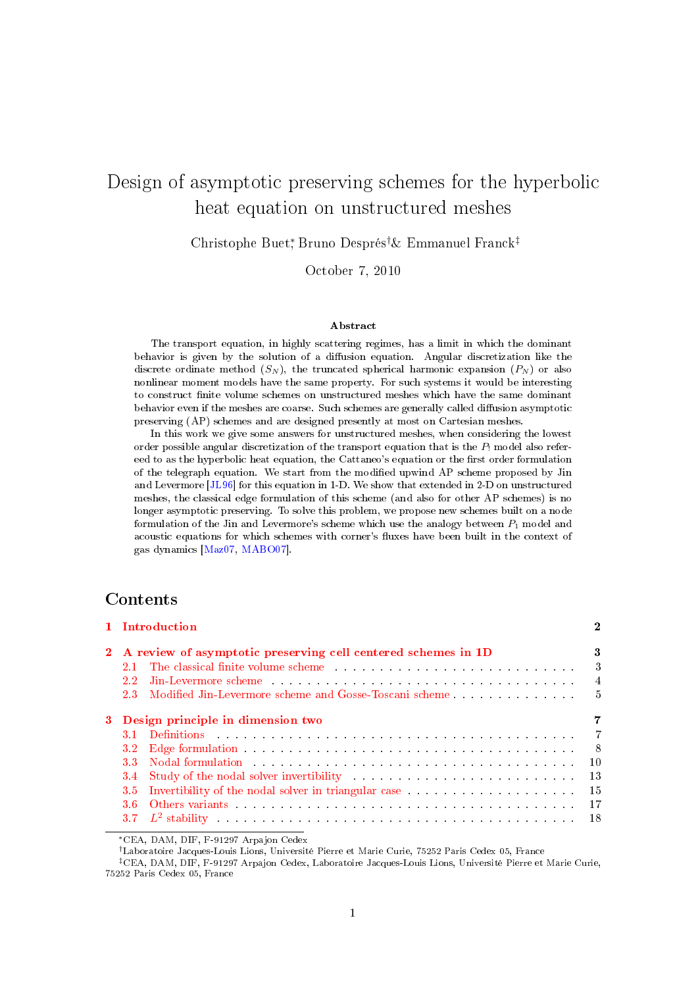# Design of asymptotic preserving schemes for the hyperbolic heat equation on unstructured meshes

Christophe Buet<sup>∗</sup> , Bruno Després†& Emmanuel Franck‡

October 7, 2010

#### Abstract

The transport equation, in highly scattering regimes, has a limit in which the dominant behavior is given by the solution of a diffusion equation. Angular discretization like the discrete ordinate method  $(S_N)$ , the truncated spherical harmonic expansion  $(P_N)$  or also nonlinear moment models have the same property. For such systems it would be interesting to construct nite volume schemes on unstructured meshes which have the same dominant behavior even if the meshes are coarse. Such schemes are generally called diffusion asymptotic preserving (AP) schemes and are designed presently at most on Cartesian meshes.

In this work we give some answers for unstructured meshes, when considering the lowest order possible angular discretization of the transport equation that is the  $P_1$  model also refereed to as the hyperbolic heat equation, the Cattaneo's equation or the first order formulation of the telegraph equation. We start from the modified upwind AP scheme proposed by Jin and Levermore [\[JL96\]](#page-30-0) for this equation in 1-D. We show that extended in 2-D on unstructured meshes, the classical edge formulation of this scheme (and also for other AP schemes) is no longer asymptotic preserving. To solve this problem, we propose new schemes built on a node formulation of the Jin and Levermore's scheme which use the analogy between  $P_1$  model and acoustic equations for which schemes with corner's fluxes have been built in the context of gas dynamics [\[Maz07,](#page-31-0) [MABO07\]](#page-31-1).

# Contents

| 1 Introduction                                                                                                                                                                                                                                    | $\mathbf 2$               |
|---------------------------------------------------------------------------------------------------------------------------------------------------------------------------------------------------------------------------------------------------|---------------------------|
| 2 A review of asymptotic preserving cell centered schemes in 1D                                                                                                                                                                                   | 3                         |
| The classical finite volume scheme enterprise in the set of the classical set of the scheme of the set of the set of the set of the set of the set of the set of the set of the set of the set of the set of the set of the se                    | $\overline{\phantom{a}3}$ |
| 22                                                                                                                                                                                                                                                | $\overline{4}$            |
| 2.3 Modified Jin-Levermore scheme and Gosse-Toscani scheme                                                                                                                                                                                        | - 5                       |
| 3 Design principle in dimension two                                                                                                                                                                                                               |                           |
|                                                                                                                                                                                                                                                   | $\overline{7}$            |
|                                                                                                                                                                                                                                                   | - 8                       |
| Nodal formulation with the service contract the contract of the service of the service of the service of the service of the service of the service of the service of the service of the service of the service of the service<br>3.3 <sub>1</sub> | $\overline{10}$           |
| Study of the nodal solver invertibility entertainment of the state of the solver in the study of the nodal solver invertibility<br>3.4                                                                                                            | - 13                      |
| Invertibility of the nodal solver in triangular case<br>$3.5^{\circ}$                                                                                                                                                                             | - 15                      |
| Others variants research research resources in the contract of the contract of the contract of the contract of the contract of the contract of the contract of the contract of the contract of the contract of the contract of<br>3.6             | $-17$                     |
|                                                                                                                                                                                                                                                   |                           |

<sup>∗</sup>CEA, DAM, DIF, F-91297 Arpajon Cedex

†Laboratoire Jacques-Louis Lions, Université Pierre et Marie Curie, 75252 Paris Cedex 05, France

<sup>‡</sup>CEA, DAM, DIF, F-91297 Arpajon Cedex, Laboratoire Jacques-Louis Lions, Université Pierre et Marie Curie, 75252 Paris Cedex 05, France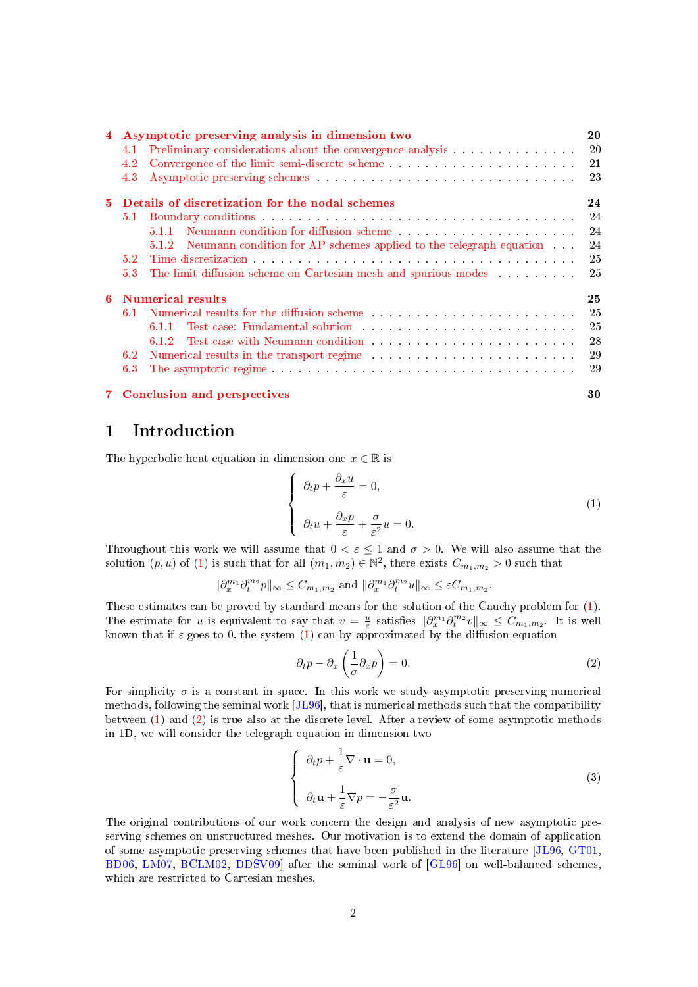|    |               | Asymptotic preserving analysis in dimension two                                                                                                                                                                                | 20  |
|----|---------------|--------------------------------------------------------------------------------------------------------------------------------------------------------------------------------------------------------------------------------|-----|
|    | 4.1           | Preliminary considerations about the convergence analysis 20                                                                                                                                                                   |     |
|    | $4.2^{\circ}$ |                                                                                                                                                                                                                                |     |
|    | 4.3           |                                                                                                                                                                                                                                |     |
| 5. |               | Details of discretization for the nodal schemes                                                                                                                                                                                | 24  |
|    |               |                                                                                                                                                                                                                                | -24 |
|    |               | 5.1.1                                                                                                                                                                                                                          |     |
|    |               | 5.1.2 Neumann condition for AP schemes applied to the telegraph equation.                                                                                                                                                      | 24  |
|    | 5.2           |                                                                                                                                                                                                                                | -25 |
|    | 5.3           | The limit diffusion scheme on Cartesian mesh and spurious modes 25                                                                                                                                                             |     |
|    |               | <b>6</b> Numerical results                                                                                                                                                                                                     | 25  |
|    |               | 6.1 Numerical results for the diffusion scheme                                                                                                                                                                                 | 25  |
|    |               | Test case: Fundamental solution and all contracts are all the contracts of the contracts of the contracts of $25$<br>6.1.1                                                                                                     |     |
|    |               | 6.1.2                                                                                                                                                                                                                          |     |
|    | 6.2           | Numerical results in the transport regime enterprise of the set of the set of the set of the set of the set of the set of the set of the set of the set of the set of the set of the set of the set of the set of the set of t |     |
|    | 6.3           |                                                                                                                                                                                                                                |     |
|    |               |                                                                                                                                                                                                                                |     |

# [7 Conclusion and perspectives](#page-29-0) 30

# <span id="page-1-0"></span>1 Introduction

The hyperbolic heat equation in dimension one  $x \in \mathbb{R}$  is

<span id="page-1-1"></span>
$$
\begin{cases}\n\partial_t p + \frac{\partial_x u}{\varepsilon} = 0, \\
\partial_t u + \frac{\partial_x p}{\varepsilon} + \frac{\sigma}{\varepsilon^2} u = 0.\n\end{cases}
$$
\n(1)

Throughout this work we will assume that  $0 < \varepsilon < 1$  and  $\sigma > 0$ . We will also assume that the solution  $(p, u)$  of [\(1\)](#page-1-1) is such that for all  $(m_1, m_2) \in \mathbb{N}^2$ , there exists  $C_{m_1, m_2} > 0$  such that

$$
\|\partial_x^{m_1}\partial_t^{m_2} p\|_{\infty} \leq C_{m_1,m_2} \text{ and } \|\partial_x^{m_1}\partial_t^{m_2} u\|_{\infty} \leq \varepsilon C_{m_1,m_2}.
$$

These estimates can be proved by standard means for the solution of the Cauchy problem for [\(1\)](#page-1-1). The estimate for u is equivalent to say that  $v = \frac{u}{\varepsilon}$  satisfies  $\|\partial_x^{m_1}\partial_t^{m_2}v\|_{\infty} \leq C_{m_1,m_2}$ . It is well known that if  $\varepsilon$  goes to 0, the system [\(1\)](#page-1-1) can by approximated by the diffusion equation

<span id="page-1-2"></span>
$$
\partial_t p - \partial_x \left( \frac{1}{\sigma} \partial_x p \right) = 0. \tag{2}
$$

For simplicity  $\sigma$  is a constant in space. In this work we study asymptotic preserving numerical methods, following the seminal work [\[JL96\]](#page-30-0), that is numerical methods such that the compatibility between [\(1\)](#page-1-1) and [\(2\)](#page-1-2) is true also at the discrete level. After a review of some asymptotic methods in 1D, we will consider the telegraph equation in dimension two

<span id="page-1-3"></span>
$$
\begin{cases}\n\partial_t p + \frac{1}{\varepsilon} \nabla \cdot \mathbf{u} = 0, \\
\partial_t \mathbf{u} + \frac{1}{\varepsilon} \nabla p = -\frac{\sigma}{\varepsilon^2} \mathbf{u}.\n\end{cases}
$$
\n(3)

The original contributions of our work concern the design and analysis of new asymptotic preserving schemes on unstructured meshes. Our motivation is to extend the domain of application of some asymptotic preserving schemes that have been published in the literature [\[JL96,](#page-30-0) [GT01,](#page-30-1) [BD06,](#page-30-2) [LM07,](#page-31-2) [BCLM02,](#page-30-3) [DDSV09\]](#page-30-4) after the seminal work of [\[GL96\]](#page-30-5) on well-balanced schemes, which are restricted to Cartesian meshes.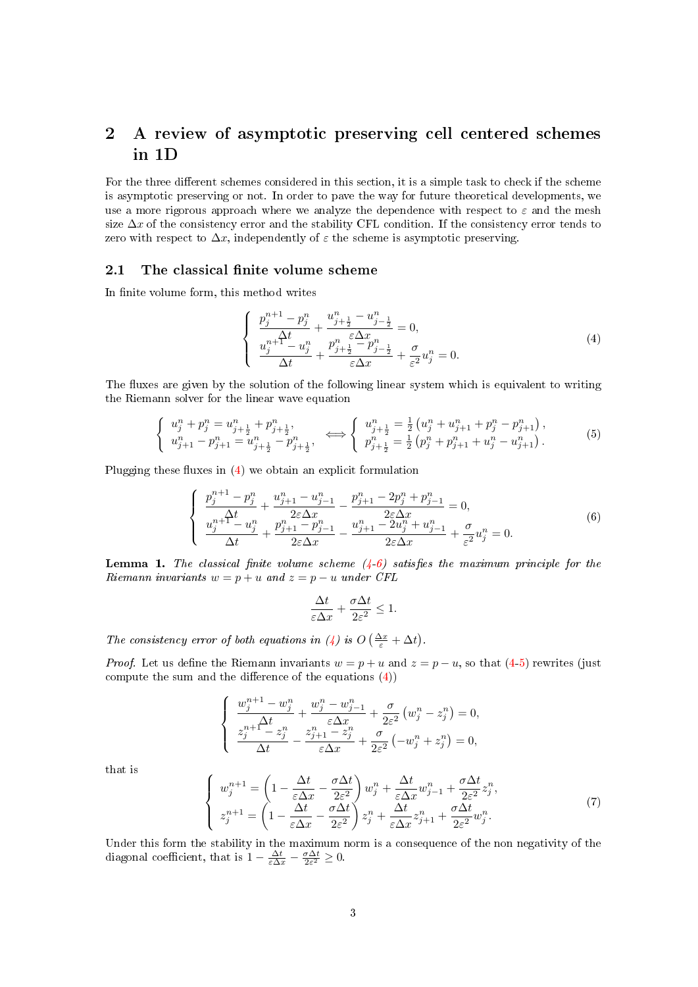# <span id="page-2-0"></span>2 A review of asymptotic preserving cell centered schemes in 1D

For the three different schemes considered in this section, it is a simple task to check if the scheme is asymptotic preserving or not. In order to pave the way for future theoretical developments, we use a more rigorous approach where we analyze the dependence with respect to  $\varepsilon$  and the mesh size  $\Delta x$  of the consistency error and the stability CFL condition. If the consistency error tends to zero with respect to  $\Delta x$ , independently of  $\varepsilon$  the scheme is asymptotic preserving.

# <span id="page-2-1"></span>2.1 The classical finite volume scheme

In finite volume form, this method writes

<span id="page-2-2"></span>
$$
\begin{cases}\n\frac{p_j^{n+1} - p_j^n}{\Delta t} + \frac{u_{j+\frac{1}{2}}^n - u_{j-\frac{1}{2}}^n}{\frac{\varepsilon \Delta x}{\Delta t} - u_j^n} = 0, \\
\frac{u_j^{n+1} - u_j^n}{\Delta t} + \frac{p_{j+\frac{1}{2}}^n - p_{j-\frac{1}{2}}^n}{\varepsilon \Delta x} + \frac{\sigma}{\varepsilon^2} u_j^n = 0.\n\end{cases} \tag{4}
$$

The fluxes are given by the solution of the following linear system which is equivalent to writing the Riemann solver for the linear wave equation

<span id="page-2-4"></span>
$$
\begin{cases}\n u_j^n + p_j^n = u_{j + \frac{1}{2}}^n + p_{j + \frac{1}{2}}^n, \\
 u_{j + 1}^n - p_{j + 1}^n = u_{j + \frac{1}{2}}^n - p_{j + \frac{1}{2}}^n,\n\end{cases}\n\Longleftrightarrow\n\begin{cases}\n u_{j + \frac{1}{2}}^n = \frac{1}{2} \left( u_j^n + u_{j + 1}^n + p_j^n - p_{j + 1}^n \right), \\
 p_{j + \frac{1}{2}}^n = \frac{1}{2} \left( p_j^n + p_{j + 1}^n + u_j^n - u_{j + 1}^n \right).\n\end{cases}\n\tag{5}
$$

Plugging these fluxes in  $(4)$  we obtain an explicit formulation

<span id="page-2-3"></span>
$$
\begin{cases}\n\frac{p_j^{n+1} - p_j^n}{\Delta t} + \frac{u_{j+1}^n - u_{j-1}^n}{2\varepsilon \Delta x} - \frac{p_{j+1}^n - 2p_j^n + p_{j-1}^n}{2\varepsilon \Delta x} = 0, \\
\frac{u_j^{n+1} - u_j^n}{\Delta t} + \frac{p_{j+1}^n - p_{j-1}^n}{2\varepsilon \Delta x} - \frac{u_{j+1}^n - 2u_j^n + u_{j-1}^n}{2\varepsilon \Delta x} + \frac{\sigma}{\varepsilon^2} u_j^n = 0.\n\end{cases} (6)
$$

**Lemma 1.** The classical finite volume scheme  $(4-6)$  $(4-6)$  satisfies the maximum principle for the Riemann invariants  $w = p + u$  and  $z = p - u$  under CFL

$$
\frac{\Delta t}{\varepsilon \Delta x} + \frac{\sigma \Delta t}{2\varepsilon^2} \le 1.
$$

The consistency error of both equations in [\(4\)](#page-2-2) is  $O\left(\frac{\Delta x}{\varepsilon} + \Delta t\right)$ .

*Proof.* Let us define the Riemann invariants  $w = p + u$  and  $z = p - u$ , so that [\(4-](#page-2-2)[5\)](#page-2-4) rewrites (just compute the sum and the difference of the equations  $(4)$ )

$$
\begin{cases}\n\frac{w_j^{n+1} - w_j^n}{\Delta t} + \frac{w_j^n - w_{j-1}^n}{\varepsilon \Delta x} + \frac{\sigma}{2\varepsilon^2} \left( w_j^n - z_j^n \right) = 0, \\
\frac{z_j^{n+1} - z_j^n}{\Delta t} - \frac{z_{j+1}^n - z_j^n}{\varepsilon \Delta x} + \frac{\sigma}{2\varepsilon^2} \left( -w_j^n + z_j^n \right) = 0,\n\end{cases}
$$

that is

$$
\begin{cases}\nw_j^{n+1} = \left(1 - \frac{\Delta t}{\varepsilon \Delta x} - \frac{\sigma \Delta t}{2\varepsilon^2}\right) w_j^n + \frac{\Delta t}{\varepsilon \Delta x} w_{j-1}^n + \frac{\sigma \Delta t}{2\varepsilon^2} z_j^n, \\
z_j^{n+1} = \left(1 - \frac{\Delta t}{\varepsilon \Delta x} - \frac{\sigma \Delta t}{2\varepsilon^2}\right) z_j^n + \frac{\Delta t}{\varepsilon \Delta x} z_{j+1}^n + \frac{\sigma \Delta t}{2\varepsilon^2} w_j^n.\n\end{cases} \tag{7}
$$

Under this form the stability in the maximum norm is a consequence of the non negativity of the diagonal coefficient, that is  $1 - \frac{\Delta t}{\varepsilon \Delta x} - \frac{\sigma \Delta t}{2\varepsilon^2} \geq 0$ .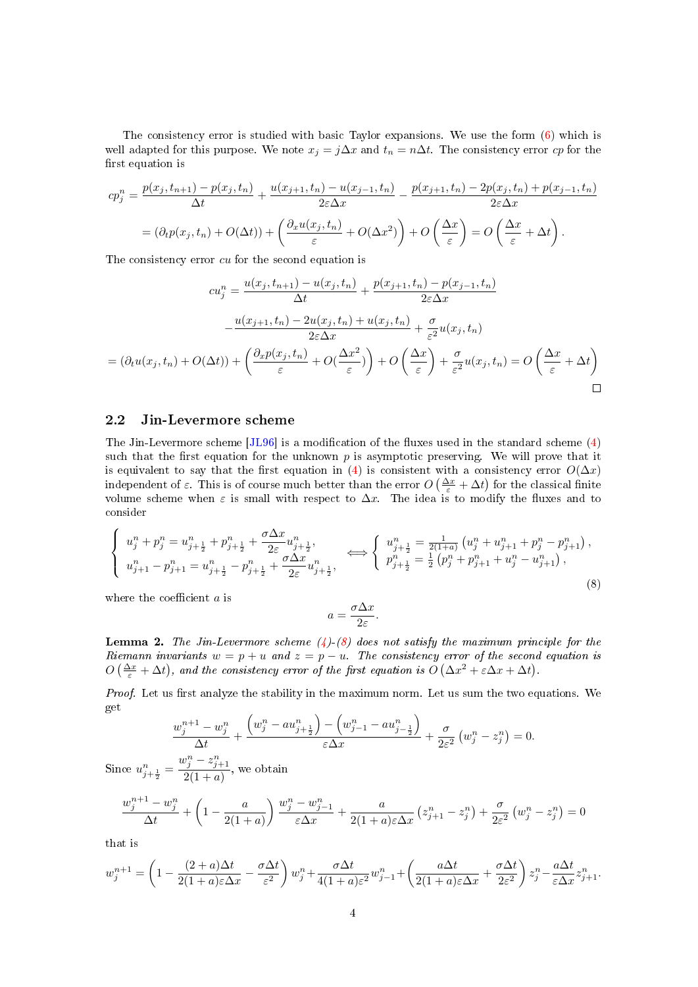The consistency error is studied with basic Taylor expansions. We use the form [\(6\)](#page-2-3) which is well adapted for this purpose. We note  $x_j = j\Delta x$  and  $t_n = n\Delta t$ . The consistency error cp for the first equation is

$$
cp_j^n = \frac{p(x_j, t_{n+1}) - p(x_j, t_n)}{\Delta t} + \frac{u(x_{j+1}, t_n) - u(x_{j-1}, t_n)}{2\varepsilon\Delta x} - \frac{p(x_{j+1}, t_n) - 2p(x_j, t_n) + p(x_{j-1}, t_n)}{2\varepsilon\Delta x}
$$

$$
= (\partial_t p(x_j, t_n) + O(\Delta t)) + \left(\frac{\partial_x u(x_j, t_n)}{\varepsilon} + O(\Delta x^2)\right) + O\left(\frac{\Delta x}{\varepsilon}\right) = O\left(\frac{\Delta x}{\varepsilon} + \Delta t\right).
$$

The consistency error *cu* for the second equation is

$$
cu_j^n = \frac{u(x_j, t_{n+1}) - u(x_j, t_n)}{\Delta t} + \frac{p(x_{j+1}, t_n) - p(x_{j-1}, t_n)}{2\varepsilon\Delta x}
$$

$$
-\frac{u(x_{j+1}, t_n) - 2u(x_j, t_n) + u(x_j, t_n)}{2\varepsilon\Delta x} + \frac{\sigma}{\varepsilon^2}u(x_j, t_n)
$$

$$
= (\partial_t u(x_j, t_n) + O(\Delta t)) + \left(\frac{\partial_x p(x_j, t_n)}{\varepsilon} + O(\frac{\Delta x^2}{\varepsilon})\right) + O\left(\frac{\Delta x}{\varepsilon}\right) + \frac{\sigma}{\varepsilon^2}u(x_j, t_n) = O\left(\frac{\Delta x}{\varepsilon} + \Delta t\right)
$$

#### <span id="page-3-0"></span>2.2 Jin-Levermore scheme

The Jin-Levermore scheme  $[JL96]$  is a modification of the fluxes used in the standard scheme [\(4\)](#page-2-2) such that the first equation for the unknown  $p$  is asymptotic preserving. We will prove that it is equivalent to say that the first equation in [\(4\)](#page-2-2) is consistent with a consistency error  $O(\Delta x)$ independent of  $\varepsilon$ . This is of course much better than the error  $O\left(\frac{\Delta x}{\varepsilon}+\Delta t\right)$  for the classical finite volume scheme when  $\varepsilon$  is small with respect to  $\Delta x$ . The idea is to modify the fluxes and to consider

<span id="page-3-1"></span>
$$
\begin{cases}\n u_j^n + p_j^n = u_{j + \frac{1}{2}}^n + p_{j + \frac{1}{2}}^n + \frac{\sigma \Delta x}{2\varepsilon} u_{j + \frac{1}{2}}^n, \\
 u_{j + 1}^n - p_{j + 1}^n = u_{j + \frac{1}{2}}^n - p_{j + \frac{1}{2}}^n + \frac{\sigma \Delta x}{2\varepsilon} u_{j + \frac{1}{2}}^n, \\
 v_{j + \frac{1}{2}}^n = \frac{1}{2} (p_j^n + p_{j + 1}^n + u_j^n - u_{j + 1}^n),\n\end{cases}\n\Longleftrightarrow\n\begin{cases}\n u_{j + \frac{1}{2}}^n = \frac{1}{2(1 + a)} \left( u_j^n + u_{j + 1}^n + p_j^n - p_{j + 1}^n \right), \\
 p_{j + \frac{1}{2}}^n = \frac{1}{2} \left( p_j^n + p_{j + 1}^n + u_j^n - u_{j + 1}^n \right),\n\end{cases}\n\tag{8}
$$

where the coefficient  $a$  is

$$
a = \frac{\sigma \Delta x}{2\varepsilon}.
$$

**Lemma 2.** The Jin-Levermore scheme  $(4)$ - $(8)$  does not satisfy the maximum principle for the Riemann invariants  $w = p + u$  and  $z = p - u$ . The consistency error of the second equation is  $O\left(\frac{\Delta x}{\varepsilon} + \Delta t\right)$ , and the consistency error of the first equation is  $O\left(\Delta x^2 + \varepsilon \Delta x + \Delta t\right)$ .

Proof. Let us first analyze the stability in the maximum norm. Let us sum the two equations. We get  $\mathbb{R}^2$ 

$$
\frac{w_j^{n+1} - w_j^n}{\Delta t} + \frac{\left(w_j^n - au_{j + \frac{1}{2}}^n\right) - \left(w_{j-1}^n - au_{j - \frac{1}{2}}^n\right)}{\varepsilon \Delta x} + \frac{\sigma}{2\varepsilon^2} \left(w_j^n - z_j^n\right) = 0.
$$
  
Since  $u_{j + \frac{1}{2}}^n = \frac{w_j^n - z_{j+1}^n}{2(1+a)}$ , we obtain  

$$
\frac{w_j^{n+1} - w_j^n}{\Delta t} + \left(1 - \frac{a}{2(1+a)}\right) \frac{w_j^n - w_{j-1}^n}{\varepsilon \Delta x} + \frac{a}{2(1+a)\varepsilon \Delta x} \left(z_{j+1}^n - z_j^n\right) + \frac{\sigma}{2\varepsilon^2} \left(w_j^n - z_{j+1}^n\right)
$$

that is

 $w$ 

$$
w_j^{n+1} = \left(1 - \frac{(2+a)\Delta t}{2(1+a)\varepsilon\Delta x} - \frac{\sigma\Delta t}{\varepsilon^2}\right)w_j^n + \frac{\sigma\Delta t}{4(1+a)\varepsilon^2}w_{j-1}^n + \left(\frac{a\Delta t}{2(1+a)\varepsilon\Delta x} + \frac{\sigma\Delta t}{2\varepsilon^2}\right)z_j^n - \frac{a\Delta t}{\varepsilon\Delta x}z_{j+1}^n.
$$

 $\binom{n}{j} = 0$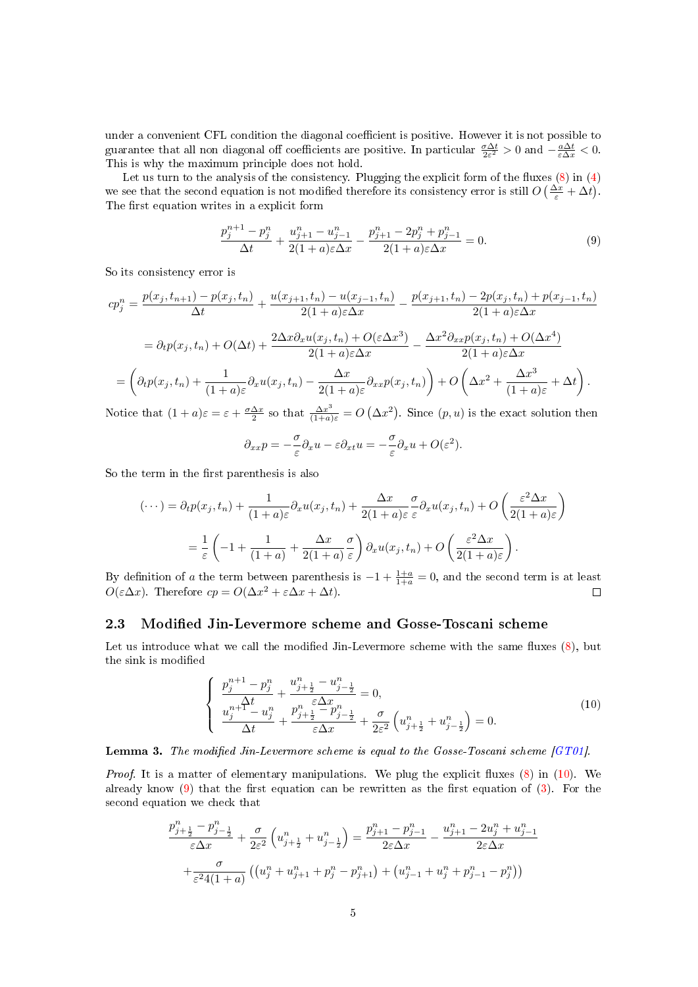under a convenient CFL condition the diagonal coefficient is positive. However it is not possible to guarantee that all non diagonal off coefficients are positive. In particular  $\frac{\sigma \Delta t}{2\varepsilon^2} > 0$  and  $-\frac{a\Delta t}{\varepsilon \Delta x} < 0$ . This is why the maximum principle does not hold.

Let us turn to the analysis of the consistency. Plugging the explicit form of the fluxes  $(8)$  in  $(4)$ we see that the second equation is not modified therefore its consistency error is still  $O\left(\frac{\Delta x}{\varepsilon} + \Delta t\right)$ . The first equation writes in a explicit form

<span id="page-4-2"></span>
$$
\frac{p_j^{n+1} - p_j^n}{\Delta t} + \frac{u_{j+1}^n - u_{j-1}^n}{2(1+a)\varepsilon\Delta x} - \frac{p_{j+1}^n - 2p_j^n + p_{j-1}^n}{2(1+a)\varepsilon\Delta x} = 0.
$$
\n(9)

So its consistency error is

$$
cp_j^n = \frac{p(x_j, t_{n+1}) - p(x_j, t_n)}{\Delta t} + \frac{u(x_{j+1}, t_n) - u(x_{j-1}, t_n)}{2(1 + a)\varepsilon\Delta x} - \frac{p(x_{j+1}, t_n) - 2p(x_j, t_n) + p(x_{j-1}, t_n)}{2(1 + a)\varepsilon\Delta x}
$$

$$
= \partial_t p(x_j, t_n) + O(\Delta t) + \frac{2\Delta x \partial_x u(x_j, t_n) + O(\varepsilon \Delta x^3)}{2(1 + a)\varepsilon\Delta x} - \frac{\Delta x^2 \partial_{xx} p(x_j, t_n) + O(\Delta x^4)}{2(1 + a)\varepsilon\Delta x}
$$

$$
= \left(\partial_t p(x_j, t_n) + \frac{1}{(1 + a)\varepsilon} \partial_x u(x_j, t_n) - \frac{\Delta x}{2(1 + a)\varepsilon} \partial_{xx} p(x_j, t_n)\right) + O\left(\Delta x^2 + \frac{\Delta x^3}{(1 + a)\varepsilon} + \Delta t\right).
$$
Notice that  $(1 + a)\varepsilon = \varepsilon + \frac{\sigma \Delta x}{2}$  so that  $\frac{\Delta x^3}{\Delta x^3} = O\left(\Delta x^2\right)$ . Since  $(n, v)$  is the exact solution then

Notice that  $(1+a)\varepsilon = \varepsilon + \frac{\sigma \Delta x}{2}$  so that  $\frac{\Delta x^3}{(1+a)\varepsilon} = O(\Delta x^2)$ . Since  $(p, u)$  is the exact solution then

$$
\partial_{xx}p = -\frac{\sigma}{\varepsilon}\partial_x u - \varepsilon \partial_{xt}u = -\frac{\sigma}{\varepsilon}\partial_x u + O(\varepsilon^2).
$$

So the term in the first parenthesis is also

$$
(\cdots) = \partial_t p(x_j, t_n) + \frac{1}{(1+a)\varepsilon} \partial_x u(x_j, t_n) + \frac{\Delta x}{2(1+a)\varepsilon} \frac{\sigma}{\varepsilon} \partial_x u(x_j, t_n) + O\left(\frac{\varepsilon^2 \Delta x}{2(1+a)\varepsilon}\right)
$$

$$
= \frac{1}{\varepsilon} \left(-1 + \frac{1}{(1+a)} + \frac{\Delta x}{2(1+a)} \frac{\sigma}{\varepsilon}\right) \partial_x u(x_j, t_n) + O\left(\frac{\varepsilon^2 \Delta x}{2(1+a)\varepsilon}\right).
$$

By definition of a the term between parenthesis is  $-1 + \frac{1+a}{1+a} = 0$ , and the second term is at least  $O(\varepsilon \Delta x)$ . Therefore  $cp = O(\Delta x^2 + \varepsilon \Delta x + \Delta t)$ .

# <span id="page-4-0"></span>2.3 Modified Jin-Levermore scheme and Gosse-Toscani scheme

Let us introduce what we call the modified Jin-Levermore scheme with the same fluxes  $(8)$ , but the sink is modified

<span id="page-4-1"></span>
$$
\begin{cases}\n\frac{p_j^{n+1} - p_j^n}{\Delta t} + \frac{u_{j+\frac{1}{2}}^n - u_{j-\frac{1}{2}}^n}{\varepsilon \Delta x} = 0, \\
\frac{u_j^{n+\frac{\Delta t}{2}} - u_j^n}{\Delta t} + \frac{p_{j+\frac{1}{2}}^n - p_{j-\frac{1}{2}}^n}{\varepsilon \Delta x} + \frac{\sigma}{2\varepsilon^2} \left( u_{j+\frac{1}{2}}^n + u_{j-\frac{1}{2}}^n \right) = 0.\n\end{cases} (10)
$$

**Lemma 3.** The modified Jin-Levermore scheme is equal to the Gosse-Toscani scheme  $[GT01]$ .

*Proof.* It is a matter of elementary manipulations. We plug the explicit fluxes  $(8)$  in  $(10)$ . We already know  $(9)$  that the first equation can be rewritten as the first equation of  $(3)$ . For the second equation we check that

$$
\frac{p_{j+\frac{1}{2}}^n - p_{j-\frac{1}{2}}^n}{\varepsilon \Delta x} + \frac{\sigma}{2\varepsilon^2} \left( u_{j+\frac{1}{2}}^n + u_{j-\frac{1}{2}}^n \right) = \frac{p_{j+1}^n - p_{j-1}^n}{2\varepsilon \Delta x} - \frac{u_{j+1}^n - 2u_j^n + u_{j-1}^n}{2\varepsilon \Delta x}
$$

$$
+ \frac{\sigma}{\varepsilon^2 4(1+a)} \left( \left( u_j^n + u_{j+1}^n + p_j^n - p_{j+1}^n \right) + \left( u_{j-1}^n + u_j^n + p_{j-1}^n - p_j^n \right) \right)
$$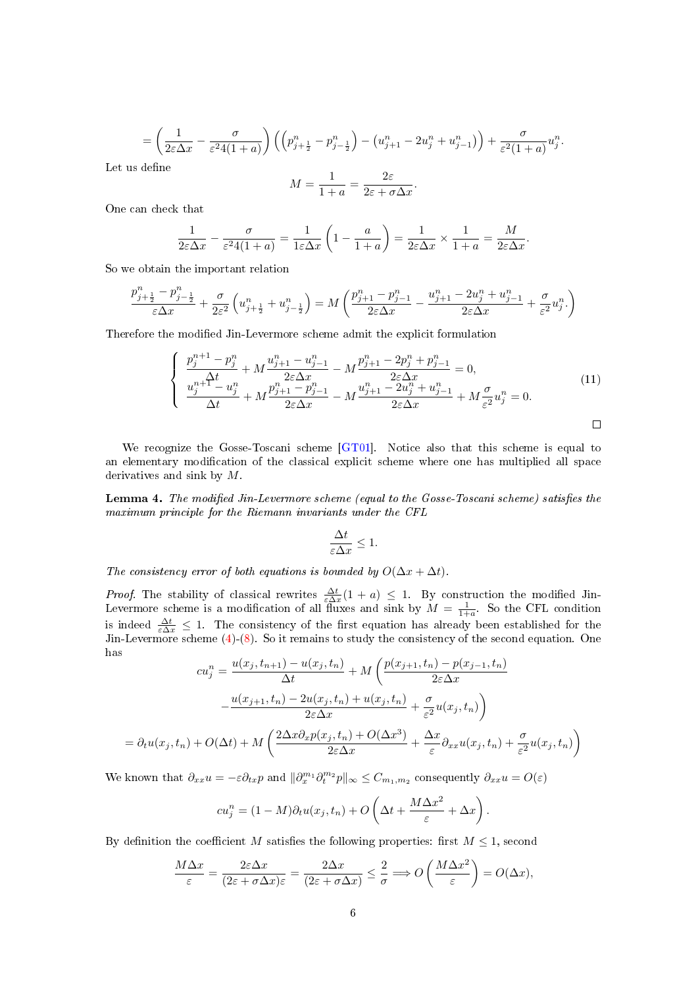$$
= \left(\frac{1}{2\varepsilon\Delta x} - \frac{\sigma}{\varepsilon^2 4(1+a)}\right) \left(\left(p_{j+\frac{1}{2}}^n - p_{j-\frac{1}{2}}^n\right) - \left(u_{j+1}^n - 2u_j^n + u_{j-1}^n\right)\right) + \frac{\sigma}{\varepsilon^2(1+a)}u_j^n.
$$

Let us define

$$
M = \frac{1}{1+a} = \frac{2\varepsilon}{2\varepsilon + \sigma \Delta x}.
$$

One can check that

$$
\frac{1}{2\varepsilon\Delta x} - \frac{\sigma}{\varepsilon^2 4(1+a)} = \frac{1}{1\varepsilon\Delta x} \left(1 - \frac{a}{1+a}\right) = \frac{1}{2\varepsilon\Delta x} \times \frac{1}{1+a} = \frac{M}{2\varepsilon\Delta x}.
$$

So we obtain the important relation

$$
\frac{p_{j+\frac{1}{2}}^n-p_{j-\frac{1}{2}}^n}{\varepsilon\Delta x}+\frac{\sigma}{2\varepsilon^2}\left(u_{j+\frac{1}{2}}^n+u_{j-\frac{1}{2}}^n\right)=M\left(\frac{p_{j+1}^n-p_{j-1}^n}{2\varepsilon\Delta x}-\frac{u_{j+1}^n-2u_j^n+u_{j-1}^n}{2\varepsilon\Delta x}+\frac{\sigma}{\varepsilon^2}u_j^n.\right)
$$

Therefore the modified Jin-Levermore scheme admit the explicit formulation

$$
\begin{cases}\n\frac{p_j^{n+1} - p_j^n}{\Delta t} + M \frac{u_{j+1}^n - u_{j-1}^n}{2\varepsilon \Delta x} - M \frac{p_{j+1}^n - 2p_j^n + p_{j-1}^n}{2\varepsilon \Delta x} = 0, \\
\frac{u_j^{n+1} - u_j^n}{\Delta t} + M \frac{p_{j+1}^n - p_{j-1}^n}{2\varepsilon \Delta x} - M \frac{u_{j+1}^n - 2u_j^n + u_{j-1}^n}{2\varepsilon \Delta x} + M \frac{\sigma}{\varepsilon^2} u_j^n = 0.\n\end{cases} (11)
$$

We recognize the Gosse-Toscani scheme [\[GT01\]](#page-30-1). Notice also that this scheme is equal to an elementary modification of the classical explicit scheme where one has multiplied all space derivatives and sink by M.

<span id="page-5-0"></span>Lemma 4. The modified Jin-Levermore scheme (equal to the Gosse-Toscani scheme) satisfies the maximum principle for the Riemann invariants under the CFL

$$
\frac{\Delta t}{\varepsilon \Delta x} \le 1.
$$

The consistency error of both equations is bounded by  $O(\Delta x + \Delta t)$ .

*Proof.* The stability of classical rewrites  $\frac{\Delta t}{\varepsilon \Delta x}(1 + a) \leq 1$ . By construction the modified Jin-Levermore scheme is a modification of all fluxes and sink by  $M = \frac{1}{1+a}$ . So the CFL condition is indeed  $\frac{\Delta t}{\varepsilon \Delta x} \leq 1$ . The consistency of the first equation has already been established for the Jin-Levermore scheme [\(4\)](#page-2-2)-[\(8\)](#page-3-1). So it remains to study the consistency of the second equation. One has

$$
cu_j^n = \frac{u(x_j, t_{n+1}) - u(x_j, t_n)}{\Delta t} + M\left(\frac{p(x_{j+1}, t_n) - p(x_{j-1}, t_n)}{2\varepsilon\Delta x}\right)
$$

$$
-\frac{u(x_{j+1}, t_n) - 2u(x_j, t_n) + u(x_j, t_n)}{2\varepsilon\Delta x} + \frac{\sigma}{\varepsilon^2}u(x_j, t_n)\right)
$$

$$
= \partial_t u(x_j, t_n) + O(\Delta t) + M\left(\frac{2\Delta x \partial_x p(x_j, t_n) + O(\Delta x^3)}{2\varepsilon\Delta x} + \frac{\Delta x}{\varepsilon} \partial_{xx} u(x_j, t_n) + \frac{\sigma}{\varepsilon^2} u(x_j, t_n)\right)
$$

We known that  $\partial_{xx}u = -\varepsilon \partial_{tx}p$  and  $\|\partial_x^{m_1}\partial_t^{m_2}p\|_{\infty} \leq C_{m_1,m_2}$  consequently  $\partial_{xx}u = O(\varepsilon)$ 

$$
cu_j^n = (1 - M)\partial_t u(x_j, t_n) + O\left(\Delta t + \frac{M\Delta x^2}{\varepsilon} + \Delta x\right).
$$

By definition the coefficient M satisfies the following properties: first  $M \leq 1$ , second

$$
\frac{M\Delta x}{\varepsilon} = \frac{2\varepsilon\Delta x}{(2\varepsilon + \sigma\Delta x)\varepsilon} = \frac{2\Delta x}{(2\varepsilon + \sigma\Delta x)} \le \frac{2}{\sigma} \Longrightarrow O\left(\frac{M\Delta x^2}{\varepsilon}\right) = O(\Delta x),
$$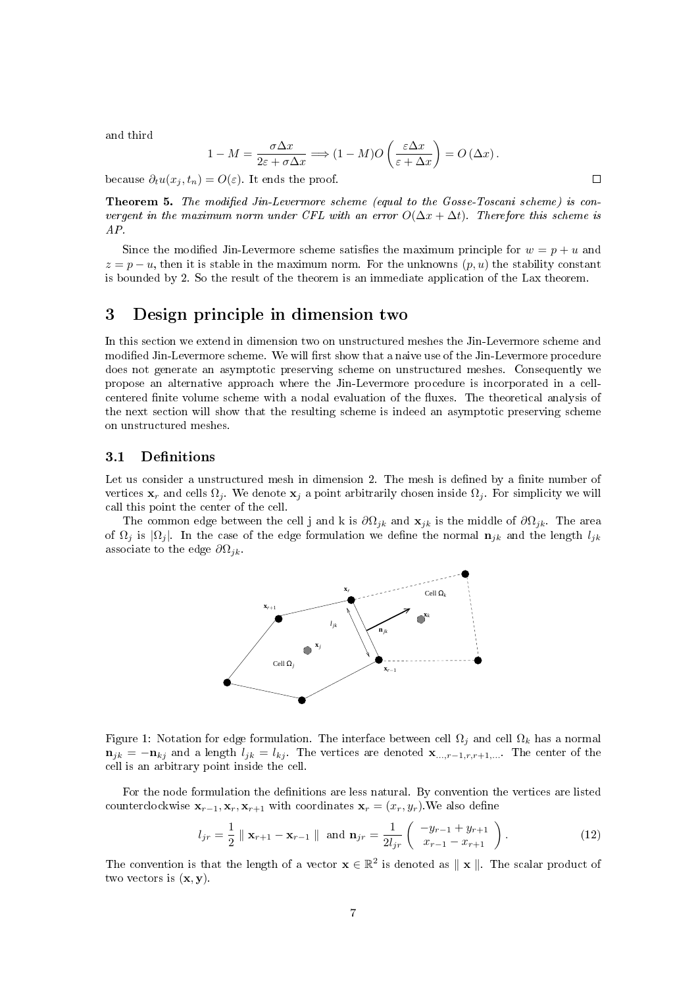and third

$$
-M = \frac{\sigma \Delta x}{2\varepsilon + \sigma \Delta x} \Longrightarrow (1 - M)O\left(\frac{\varepsilon \Delta x}{\varepsilon + \Delta x}\right) = O\left(\Delta x\right).
$$

because  $\partial_t u(x_i, t_n) = O(\varepsilon)$ . It ends the proof.

 $\mathbf{1}$ 

Theorem 5. The modified Jin-Levermore scheme (equal to the Gosse-Toscani scheme) is convergent in the maximum norm under CFL with an error  $O(\Delta x + \Delta t)$ . Therefore this scheme is AP.

Since the modified Jin-Levermore scheme satisfies the maximum principle for  $w = p + u$  and  $z = p - u$ , then it is stable in the maximum norm. For the unknowns  $(p, u)$  the stability constant is bounded by 2. So the result of the theorem is an immediate application of the Lax theorem.

# <span id="page-6-0"></span>3 Design principle in dimension two

In this section we extend in dimension two on unstructured meshes the Jin-Levermore scheme and modified Jin-Levermore scheme. We will first show that a naive use of the Jin-Levermore procedure does not generate an asymptotic preserving scheme on unstructured meshes. Consequently we propose an alternative approach where the Jin-Levermore procedure is incorporated in a cellcentered finite volume scheme with a nodal evaluation of the fluxes. The theoretical analysis of the next section will show that the resulting scheme is indeed an asymptotic preserving scheme on unstructured meshes.

# <span id="page-6-1"></span>3.1 Definitions

Let us consider a unstructured mesh in dimension 2. The mesh is defined by a finite number of vertices  $\mathbf{x}_r$  and cells  $\Omega_j$ . We denote  $\mathbf{x}_j$  a point arbitrarily chosen inside  $\Omega_j$ . For simplicity we will call this point the center of the cell.

The common edge between the cell j and k is  $\partial\Omega_{ik}$  and  $\mathbf{x}_{ik}$  is the middle of  $\partial\Omega_{ik}$ . The area of  $\Omega_i$  is  $|\Omega_i|$ . In the case of the edge formulation we define the normal  $\mathbf{n}_{jk}$  and the length  $l_{jk}$ associate to the edge  $\partial\Omega_{ik}$ .



Figure 1: Notation for edge formulation. The interface between cell  $\Omega_i$  and cell  $\Omega_k$  has a normal  $n_{jk} = -n_{kj}$  and a length  $l_{jk} = l_{kj}$ . The vertices are denoted  $\mathbf{x}_{...,r-1,r,r+1,...}$ . The center of the cell is an arbitrary point inside the cell.

For the node formulation the definitions are less natural. By convention the vertices are listed counterclockwise  $\mathbf{x}_{r-1}, \mathbf{x}_r, \mathbf{x}_{r+1}$  with coordinates  $\mathbf{x}_r = (x_r, y_r)$ . We also define

<span id="page-6-2"></span>
$$
l_{jr} = \frac{1}{2} \parallel \mathbf{x}_{r+1} - \mathbf{x}_{r-1} \parallel \text{ and } \mathbf{n}_{jr} = \frac{1}{2l_{jr}} \left( \begin{array}{c} -y_{r-1} + y_{r+1} \\ x_{r-1} - x_{r+1} \end{array} \right).
$$
 (12)

The convention is that the length of a vector  $\mathbf{x} \in \mathbb{R}^2$  is denoted as  $\|\mathbf{x}\|$ . The scalar product of two vectors is  $(\mathbf{x}, \mathbf{y})$ .

 $\Box$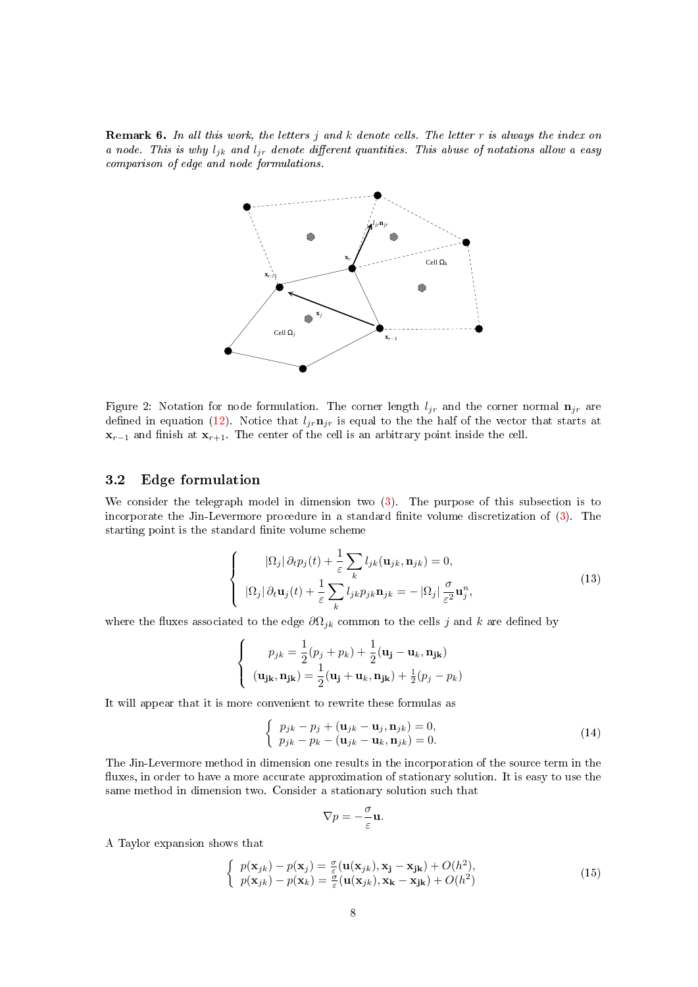**Remark 6.** In all this work, the letters j and k denote cells. The letter  $r$  is always the index on a node. This is why  $l_{ik}$  and  $l_{ir}$  denote different quantities. This abuse of notations allow a easy comparison of edge and node formulations.



Figure 2: Notation for node formulation. The corner length  $l_{ir}$  and the corner normal  $\mathbf{n}_{ir}$  are defined in equation [\(12\)](#page-6-2). Notice that  $l_{jr}$  is equal to the the half of the vector that starts at  $\mathbf{x}_{r-1}$  and finish at  $\mathbf{x}_{r+1}$ . The center of the cell is an arbitrary point inside the cell.

# <span id="page-7-0"></span>3.2 Edge formulation

We consider the telegraph model in dimension two [\(3\)](#page-1-3). The purpose of this subsection is to incorporate the Jin-Levermore procedure in a standard finite volume discretization of  $(3)$ . The starting point is the standard finite volume scheme

<span id="page-7-3"></span>
$$
\begin{cases}\n|\Omega_j|\,\partial_t p_j(t) + \frac{1}{\varepsilon} \sum_k l_{jk}(\mathbf{u}_{jk}, \mathbf{n}_{jk}) = 0, \\
|\Omega_j|\,\partial_t \mathbf{u}_j(t) + \frac{1}{\varepsilon} \sum_k l_{jk} p_{jk} \mathbf{n}_{jk} = -|\Omega_j| \frac{\sigma}{\varepsilon^2} \mathbf{u}_j^n,\n\end{cases} (13)
$$

where the fluxes associated to the edge  $\partial\Omega_{jk}$  common to the cells j and k are defined by

$$
\begin{cases}\n p_{jk} = \frac{1}{2}(p_j + p_k) + \frac{1}{2}(\mathbf{u_j} - \mathbf{u_k}, \mathbf{n_{jk}}) \\
 (\mathbf{u_{jk}}, \mathbf{n_{jk}}) = \frac{1}{2}(\mathbf{u_j} + \mathbf{u_k}, \mathbf{n_{jk}}) + \frac{1}{2}(p_j - p_k)\n\end{cases}
$$

It will appear that it is more convenient to rewrite these formulas as

<span id="page-7-1"></span>
$$
\begin{cases}\np_{jk} - p_j + (\mathbf{u}_{jk} - \mathbf{u}_j, \mathbf{n}_{jk}) = 0, \\
p_{jk} - p_k - (\mathbf{u}_{jk} - \mathbf{u}_k, \mathbf{n}_{jk}) = 0.\n\end{cases}
$$
\n(14)

The Jin-Levermore method in dimension one results in the incorporation of the source term in the fluxes, in order to have a more accurate approximation of stationary solution. It is easy to use the same method in dimension two. Consider a stationary solution such that

$$
\nabla p = -\frac{\sigma}{\varepsilon} \mathbf{u}.
$$

A Taylor expansion shows that

<span id="page-7-2"></span>
$$
\begin{cases}\np(\mathbf{x}_{jk}) - p(\mathbf{x}_{j}) = \frac{\sigma}{\varepsilon}(\mathbf{u}(\mathbf{x}_{jk}), \mathbf{x}_{j} - \mathbf{x}_{jk}) + O(h^{2}),\\p(\mathbf{x}_{jk}) - p(\mathbf{x}_{k}) = \frac{\sigma}{\varepsilon}(\mathbf{u}(\mathbf{x}_{jk}), \mathbf{x}_{k} - \mathbf{x}_{jk}) + O(h^{2})\n\end{cases}
$$
\n(15)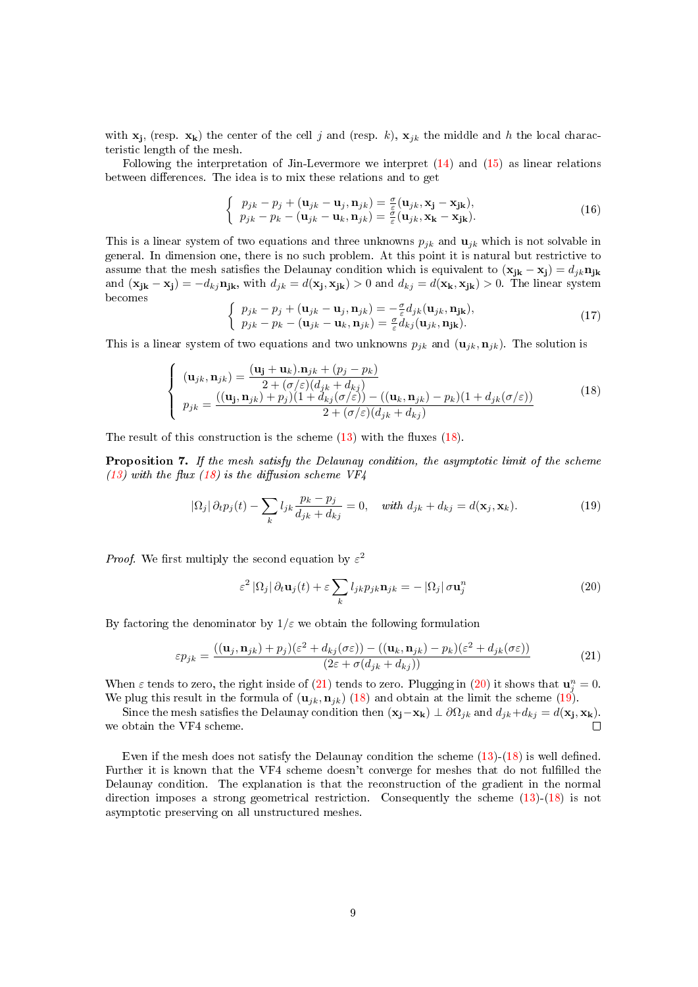with  $\mathbf{x}_j$ , (resp.  $\mathbf{x}_k$ ) the center of the cell j and (resp. k),  $\mathbf{x}_{jk}$  the middle and h the local characteristic length of the mesh.

Following the interpretation of Jin-Levermore we interpret  $(14)$  and  $(15)$  as linear relations between differences. The idea is to mix these relations and to get

$$
\begin{cases}\np_{jk} - p_j + (\mathbf{u}_{jk} - \mathbf{u}_j, \mathbf{n}_{jk}) = \frac{\sigma}{\varepsilon} (\mathbf{u}_{jk}, \mathbf{x_j} - \mathbf{x}_{jk}),\\ \np_{jk} - p_k - (\mathbf{u}_{jk} - \mathbf{u}_k, \mathbf{n}_{jk}) = \frac{\sigma}{\varepsilon} (\mathbf{u}_{jk}, \mathbf{x_k} - \mathbf{x}_{jk}).\n\end{cases} \tag{16}
$$

This is a linear system of two equations and three unknowns  $p_{jk}$  and  $\mathbf{u}_{jk}$  which is not solvable in general. In dimension one, there is no such problem. At this point it is natural but restrictive to assume that the mesh satisfies the Delaunay condition which is equivalent to  $(\mathbf{x}_{jk} - \mathbf{x}_j) = d_{jk} \mathbf{n}_{jk}$ and  $(\mathbf{x}_{jk} - \mathbf{x}_j) = -d_{kj}\mathbf{n}_{jk}$ , with  $d_{jk} = d(\mathbf{x}_j, \mathbf{x}_{jk}) > 0$  and  $d_{kj} = d(\mathbf{x}_k, \mathbf{x}_{jk}) > 0$ . The linear system becomes

<span id="page-8-4"></span>
$$
\begin{cases}\np_{jk} - p_j + (\mathbf{u}_{jk} - \mathbf{u}_j, \mathbf{n}_{jk}) = -\frac{\sigma}{\varepsilon} d_{jk} (\mathbf{u}_{jk}, \mathbf{n}_{jk}),\\ \np_{jk} - p_k - (\mathbf{u}_{jk} - \mathbf{u}_k, \mathbf{n}_{jk}) = \frac{\sigma}{\varepsilon} d_{kj} (\mathbf{u}_{jk}, \mathbf{n}_{jk}).\n\end{cases} \tag{17}
$$

This is a linear system of two equations and two unknowns  $p_{ik}$  and  $(\mathbf{u}_{ik}, \mathbf{n}_{jk})$ . The solution is

<span id="page-8-0"></span>
$$
\begin{cases}\n(\mathbf{u}_{jk}, \mathbf{n}_{jk}) = \frac{(\mathbf{u}_j + \mathbf{u}_k) \cdot \mathbf{n}_{jk} + (p_j - p_k)}{2 + (\sigma/\varepsilon)(d_{jk} + d_{kj})} \\
p_{jk} = \frac{((\mathbf{u}_j, \mathbf{n}_{jk}) + p_j)(1 + d_{kj}(\sigma/\varepsilon)) - ((\mathbf{u}_k, \mathbf{n}_{jk}) - p_k)(1 + d_{jk}(\sigma/\varepsilon))}{2 + (\sigma/\varepsilon)(d_{jk} + d_{kj})}\n\end{cases}
$$
\n(18)

The result of this construction is the scheme  $(13)$  with the fluxes  $(18)$ .

Proposition 7. If the mesh satisfy the Delaunay condition, the asymptotic limit of the scheme [\(13\)](#page-7-3) with the flux [\(18\)](#page-8-0) is the diffusion scheme  $VF4$ 

<span id="page-8-3"></span>
$$
|\Omega_j| \partial_t p_j(t) - \sum_k l_{jk} \frac{p_k - p_j}{d_{jk} + d_{kj}} = 0, \quad \text{with } d_{jk} + d_{kj} = d(\mathbf{x}_j, \mathbf{x}_k). \tag{19}
$$

*Proof.* We first multiply the second equation by  $\varepsilon^2$ 

<span id="page-8-2"></span>
$$
\varepsilon^2 |\Omega_j| \partial_t \mathbf{u}_j(t) + \varepsilon \sum_k l_{jk} p_{jk} \mathbf{n}_{jk} = - |\Omega_j| \sigma \mathbf{u}_j^n \tag{20}
$$

By factoring the denominator by  $1/\varepsilon$  we obtain the following formulation

<span id="page-8-1"></span>
$$
\varepsilon p_{jk} = \frac{((\mathbf{u}_j, \mathbf{n}_{jk}) + p_j)(\varepsilon^2 + d_{kj}(\sigma \varepsilon)) - ((\mathbf{u}_k, \mathbf{n}_{jk}) - p_k)(\varepsilon^2 + d_{jk}(\sigma \varepsilon))}{(2\varepsilon + \sigma(d_{jk} + d_{kj}))}
$$
(21)

When  $\varepsilon$  tends to zero, the right inside of [\(21\)](#page-8-1) tends to zero. Plugging in [\(20\)](#page-8-2) it shows that  $\mathbf{u}_j^n = 0$ . We plug this result in the formula of  $(\mathbf{u}_{jk}, \mathbf{n}_{jk})$  [\(18\)](#page-8-0) and obtain at the limit the scheme [\(19\)](#page-8-3).

Since the mesh satisfies the Delaunay condition then  $(\mathbf{x_j} - \mathbf{x_k}) \perp \partial \Omega_{jk}$  and  $d_{jk} + d_{kj} = d(\mathbf{x_j}, \mathbf{x_k})$ . we obtain the VF4 scheme.  $\Box$ 

Even if the mesh does not satisfy the Delaunay condition the scheme  $(13)-(18)$  $(13)-(18)$  $(13)-(18)$  is well defined. Further it is known that the VF4 scheme doesn't converge for meshes that do not fullled the Delaunay condition. The explanation is that the reconstruction of the gradient in the normal direction imposes a strong geometrical restriction. Consequently the scheme [\(13\)](#page-7-3)-[\(18\)](#page-8-0) is not asymptotic preserving on all unstructured meshes.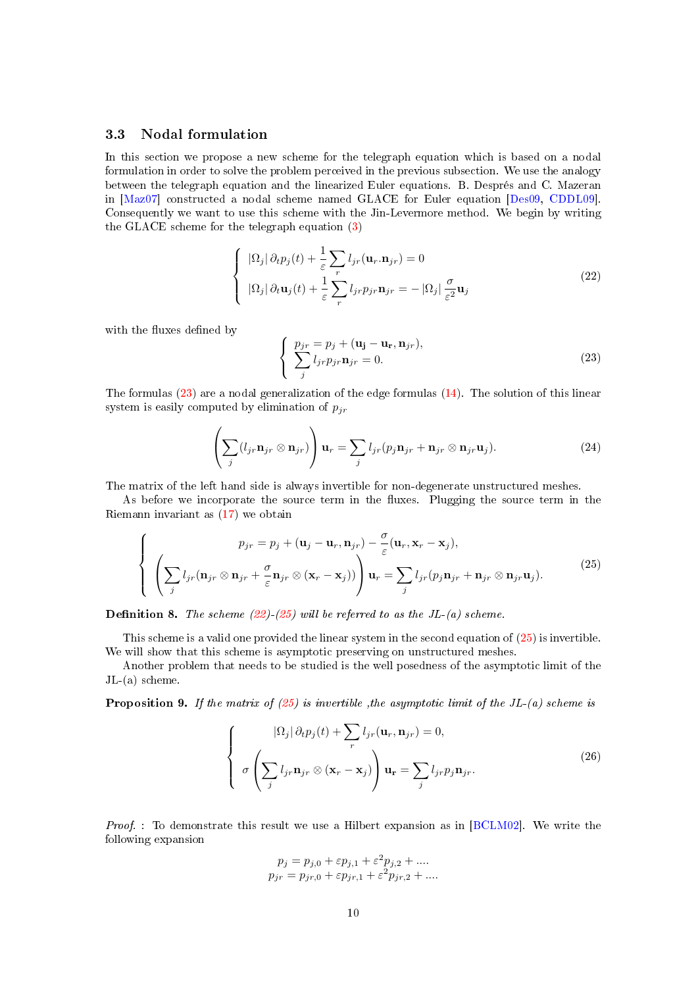# <span id="page-9-0"></span>3.3 Nodal formulation

In this section we propose a new scheme for the telegraph equation which is based on a nodal formulation in order to solve the problem perceived in the previous subsection. We use the analogy between the telegraph equation and the linearized Euler equations. B. Després and C. Mazeran in [\[Maz07\]](#page-31-0) constructed a nodal scheme named GLACE for Euler equation [\[Des09,](#page-30-6) [CDDL09\]](#page-30-7). Consequently we want to use this scheme with the Jin-Levermore method. We begin by writing the GLACE scheme for the telegraph equation [\(3\)](#page-1-3)

<span id="page-9-2"></span>
$$
\begin{cases}\n|\Omega_j| \partial_t p_j(t) + \frac{1}{\varepsilon} \sum_r l_{jr}(\mathbf{u}_r. \mathbf{n}_{jr}) = 0 \\
|\Omega_j| \partial_t \mathbf{u}_j(t) + \frac{1}{\varepsilon} \sum_r l_{jr} p_{jr} \mathbf{n}_{jr} = -|\Omega_j| \frac{\sigma}{\varepsilon^2} \mathbf{u}_j\n\end{cases}
$$
\n(22)

with the fluxes defined by

<span id="page-9-1"></span>
$$
\begin{cases}\n p_{jr} = p_j + (\mathbf{u_j} - \mathbf{u_r}, \mathbf{n}_{jr}), \\
 \sum_{j} l_{jr} p_{jr} \mathbf{n}_{jr} = 0.\n\end{cases}
$$
\n(23)

The formulas [\(23\)](#page-9-1) are a nodal generalization of the edge formulas [\(14\)](#page-7-1). The solution of this linear system is easily computed by elimination of  $p_{ir}$ 

$$
\left(\sum_{j} (l_{jr} \mathbf{n}_{jr} \otimes \mathbf{n}_{jr})\right) \mathbf{u}_r = \sum_{j} l_{jr} (p_j \mathbf{n}_{jr} + \mathbf{n}_{jr} \otimes \mathbf{n}_{jr} \mathbf{u}_j).
$$
 (24)

The matrix of the left hand side is always invertible for non-degenerate unstructured meshes.

As before we incorporate the source term in the fluxes. Plugging the source term in the Riemann invariant as [\(17\)](#page-8-4) we obtain

<span id="page-9-3"></span>
$$
\begin{cases}\n p_{jr} = p_j + (\mathbf{u}_j - \mathbf{u}_r, \mathbf{n}_{jr}) - \frac{\sigma}{\varepsilon} (\mathbf{u}_r, \mathbf{x}_r - \mathbf{x}_j), \\
 \left( \sum_j l_{jr} (\mathbf{n}_{jr} \otimes \mathbf{n}_{jr} + \frac{\sigma}{\varepsilon} \mathbf{n}_{jr} \otimes (\mathbf{x}_r - \mathbf{x}_j)) \right) \mathbf{u}_r = \sum_j l_{jr} (p_j \mathbf{n}_{jr} + \mathbf{n}_{jr} \otimes \mathbf{n}_{jr} \mathbf{u}_j).\n\end{cases}
$$
\n(25)

**Definition 8.** The scheme  $(22)-(25)$  $(22)-(25)$  $(22)-(25)$  will be referred to as the JL-(a) scheme.

This scheme is a valid one provided the linear system in the second equation of [\(25\)](#page-9-3) is invertible. We will show that this scheme is asymptotic preserving on unstructured meshes.

Another problem that needs to be studied is the well posedness of the asymptotic limit of the JL-(a) scheme.

**Proposition 9.** If the matrix of  $(25)$  is invertible , the asymptotic limit of the JL- $(a)$  scheme is

<span id="page-9-4"></span>
$$
\begin{cases}\n\Omega_j |\partial_t p_j(t) + \sum_r l_{jr}(\mathbf{u}_r, \mathbf{n}_{jr}) = 0, \\
\sigma \left( \sum_j l_{jr} \mathbf{n}_{jr} \otimes (\mathbf{x}_r - \mathbf{x}_j) \right) \mathbf{u}_r = \sum_j l_{jr} p_j \mathbf{n}_{jr}.\n\end{cases}
$$
\n(26)

*Proof.* : To demonstrate this result we use a Hilbert expansion as in  $[BCLMO2]$ . We write the following expansion

$$
p_j = p_{j,0} + \varepsilon p_{j,1} + \varepsilon^2 p_{j,2} + \dots
$$
  

$$
p_{jr} = p_{jr,0} + \varepsilon p_{jr,1} + \varepsilon^2 p_{jr,2} + \dots
$$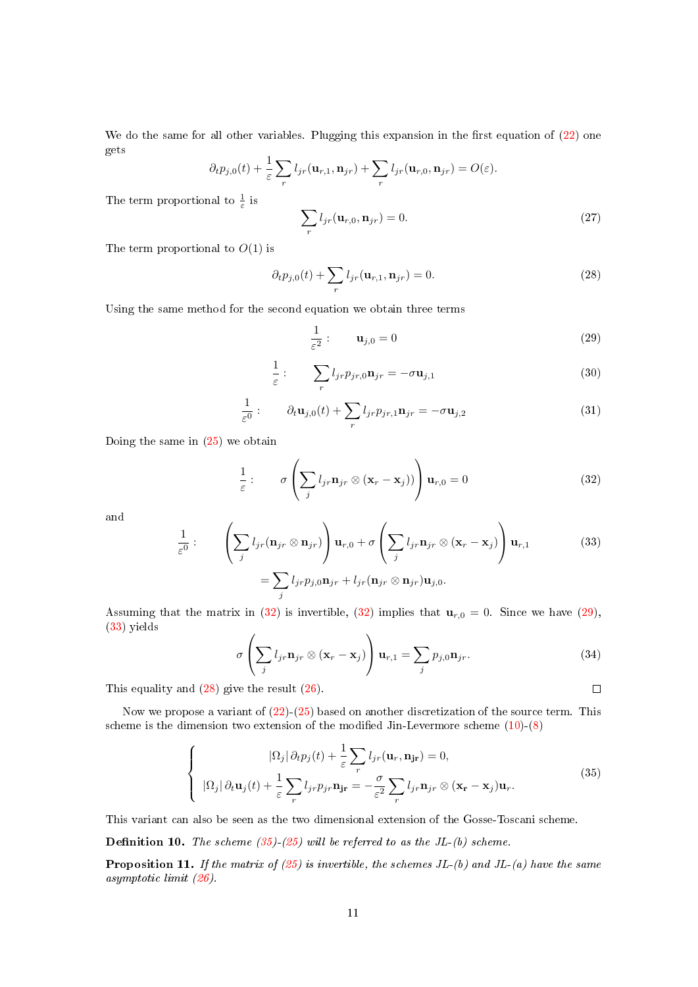We do the same for all other variables. Plugging this expansion in the first equation of  $(22)$  one gets

$$
\partial_t p_{j,0}(t) + \frac{1}{\varepsilon} \sum_r l_{jr}(\mathbf{u}_{r,1}, \mathbf{n}_{jr}) + \sum_r l_{jr}(\mathbf{u}_{r,0}, \mathbf{n}_{jr}) = O(\varepsilon).
$$

The term proportional to  $\frac{1}{\varepsilon}$  is

$$
\sum_{r} l_{jr}(\mathbf{u}_{r,0}, \mathbf{n}_{jr}) = 0.
$$
 (27)

The term proportional to  $O(1)$  is

<span id="page-10-3"></span>
$$
\partial_t p_{j,0}(t) + \sum_r l_{jr}(\mathbf{u}_{r,1}, \mathbf{n}_{jr}) = 0.
$$
\n(28)

Using the same method for the second equation we obtain three terms

<span id="page-10-1"></span>
$$
\frac{1}{\varepsilon^2}:\qquad \mathbf{u}_{j,0}=0\tag{29}
$$

$$
\frac{1}{\varepsilon}: \qquad \sum_{r} l_{jr} p_{jr,0} \mathbf{n}_{jr} = -\sigma \mathbf{u}_{j,1} \tag{30}
$$

$$
\frac{1}{\varepsilon^0} : \qquad \partial_t \mathbf{u}_{j,0}(t) + \sum_r l_{jr} p_{jr,1} \mathbf{n}_{jr} = -\sigma \mathbf{u}_{j,2}
$$
\n(31)

Doing the same in [\(25\)](#page-9-3) we obtain

<span id="page-10-0"></span>
$$
\frac{1}{\varepsilon}: \qquad \sigma\left(\sum_{j} l_{jr} \mathbf{n}_{jr} \otimes (\mathbf{x}_r - \mathbf{x}_j))\right) \mathbf{u}_{r,0} = 0 \tag{32}
$$

and

<span id="page-10-2"></span>
$$
\frac{1}{\varepsilon^0} : \qquad \left( \sum_j l_{jr} (\mathbf{n}_{jr} \otimes \mathbf{n}_{jr}) \right) \mathbf{u}_{r,0} + \sigma \left( \sum_j l_{jr} \mathbf{n}_{jr} \otimes (\mathbf{x}_r - \mathbf{x}_j) \right) \mathbf{u}_{r,1} \tag{33}
$$
\n
$$
= \sum_j l_{jr} p_{j,0} \mathbf{n}_{jr} + l_{jr} (\mathbf{n}_{jr} \otimes \mathbf{n}_{jr}) \mathbf{u}_{j,0}.
$$

Assuming that the matrix in [\(32\)](#page-10-0) is invertible, (32) implies that  $\mathbf{u}_{r,0} = 0$ . Since we have [\(29\)](#page-10-1), [\(33\)](#page-10-2) yields  $\overline{1}$  $\sim$ 

$$
\sigma\left(\sum_{j} l_{jr} \mathbf{n}_{jr} \otimes (\mathbf{x}_r - \mathbf{x}_j)\right) \mathbf{u}_{r,1} = \sum_{j} p_{j,0} \mathbf{n}_{jr}.
$$
 (34)

This equality and [\(28\)](#page-10-3) give the result [\(26\)](#page-9-4).

Now we propose a variant of  $(22)-(25)$  $(22)-(25)$  $(22)-(25)$  based on another discretization of the source term. This scheme is the dimension two extension of the modified Jin-Levermore scheme  $(10)$ - $(8)$ 

<span id="page-10-4"></span>
$$
\begin{cases}\n|\Omega_j|\,\partial_t p_j(t) + \frac{1}{\varepsilon} \sum_r l_{jr}(\mathbf{u}_r, \mathbf{n}_{jr}) = 0, \\
|\Omega_j|\,\partial_t \mathbf{u}_j(t) + \frac{1}{\varepsilon} \sum_r l_{jr} p_{jr} \mathbf{n}_{jr} = -\frac{\sigma}{\varepsilon^2} \sum_r l_{jr} \mathbf{n}_{jr} \otimes (\mathbf{x}_r - \mathbf{x}_j) \mathbf{u}_r.\n\end{cases} (35)
$$

This variant can also be seen as the two dimensional extension of the Gosse-Toscani scheme.

**Definition 10.** The scheme  $(35)-(25)$  $(35)-(25)$  $(35)-(25)$  will be referred to as the JL-(b) scheme.

**Proposition 11.** If the matrix of  $(25)$  is invertible, the schemes JL- $(b)$  and JL- $(a)$  have the same asymptotic limit [\(26\)](#page-9-4).

 $\Box$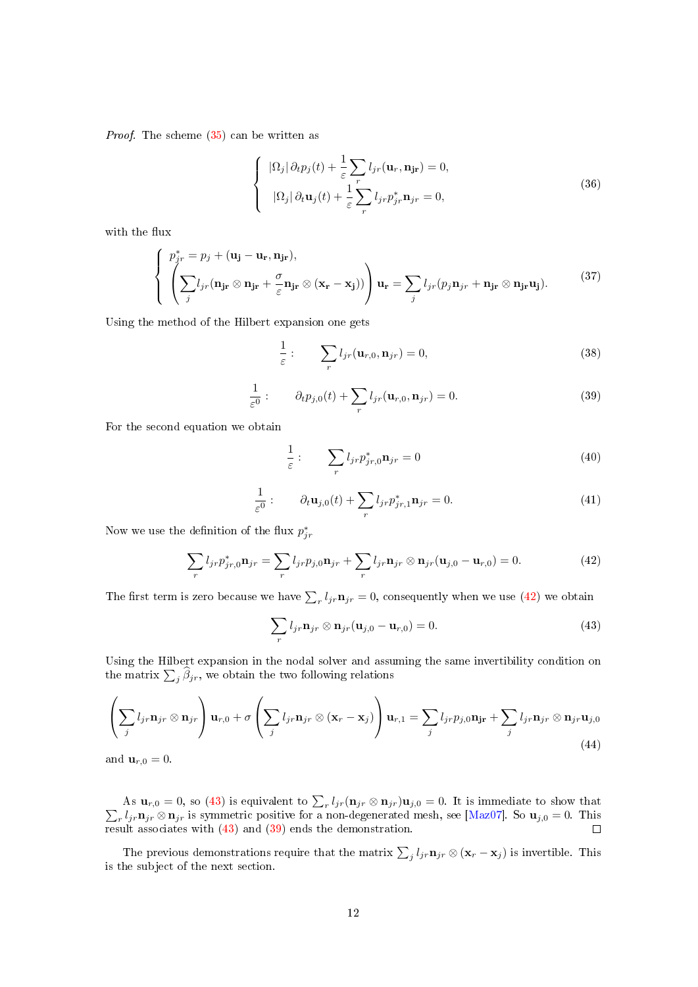Proof. The scheme [\(35\)](#page-10-4) can be written as

$$
\begin{cases}\n|\Omega_j| \partial_t p_j(t) + \frac{1}{\varepsilon} \sum_r l_{jr}(\mathbf{u}_r, \mathbf{n}_{jr}) = 0, \\
|\Omega_j| \partial_t \mathbf{u}_j(t) + \frac{1}{\varepsilon} \sum_r l_{jr} p_{jr}^* \mathbf{n}_{jr} = 0,\n\end{cases}
$$
\n(36)

with the flux

$$
\begin{cases}\n p_{jr}^* = p_j + (\mathbf{u_j} - \mathbf{u_r}, \mathbf{n_{jr}}), \\
 \left( \sum_j l_{jr} (\mathbf{n_{jr}} \otimes \mathbf{n_{jr}} + \frac{\sigma}{\varepsilon} \mathbf{n_{jr}} \otimes (\mathbf{x_r} - \mathbf{x_j})) \right) \mathbf{u_r} = \sum_j l_{jr} (p_j \mathbf{n_{jr}} + \mathbf{n_{jr}} \otimes \mathbf{n_{jr}} \mathbf{u_j}).\n\end{cases}\n\tag{37}
$$

Using the method of the Hilbert expansion one gets

$$
\frac{1}{\varepsilon}:\qquad\sum_{r}l_{jr}(\mathbf{u}_{r,0},\mathbf{n}_{jr})=0,
$$
\n(38)

<span id="page-11-2"></span>
$$
\frac{1}{\varepsilon^{0}}: \qquad \partial_{t} p_{j,0}(t) + \sum_{r} l_{jr}(\mathbf{u}_{r,0}, \mathbf{n}_{jr}) = 0.
$$
 (39)

For the second equation we obtain

$$
\frac{1}{\varepsilon} : \qquad \sum_{r} l_{jr} p^*_{jr,0} \mathbf{n}_{jr} = 0 \tag{40}
$$

$$
\frac{1}{\varepsilon^0} : \qquad \partial_t \mathbf{u}_{j,0}(t) + \sum_r l_{jr} p^*_{jr,1} \mathbf{n}_{jr} = 0. \tag{41}
$$

Now we use the definition of the flux  $p_{jr}^*$ 

<span id="page-11-0"></span>
$$
\sum_{r} l_{jr} p_{jr,0}^* \mathbf{n}_{jr} = \sum_{r} l_{jr} p_{j,0} \mathbf{n}_{jr} + \sum_{r} l_{jr} \mathbf{n}_{jr} \otimes \mathbf{n}_{jr} (\mathbf{u}_{j,0} - \mathbf{u}_{r,0}) = 0.
$$
 (42)

The first term is zero because we have  $\sum_{r} l_{jr} \mathbf{n}_{jr} = 0$ , consequently when we use [\(42\)](#page-11-0) we obtain

<span id="page-11-1"></span>
$$
\sum_{r} l_{jr} \mathbf{n}_{jr} \otimes \mathbf{n}_{jr} (\mathbf{u}_{j,0} - \mathbf{u}_{r,0}) = 0.
$$
 (43)

Using the Hilbert expansion in the nodal solver and assuming the same invertibility condition on the matrix  $\sum_j \beta_{jr},$  we obtain the two following relations

$$
\left(\sum_{j} l_{jr} \mathbf{n}_{jr} \otimes \mathbf{n}_{jr}\right) \mathbf{u}_{r,0} + \sigma \left(\sum_{j} l_{jr} \mathbf{n}_{jr} \otimes (\mathbf{x}_r - \mathbf{x}_j)\right) \mathbf{u}_{r,1} = \sum_{j} l_{jr} p_{j,0} \mathbf{n}_{jr} + \sum_{j} l_{jr} \mathbf{n}_{jr} \otimes \mathbf{n}_{jr} \mathbf{u}_{j,0}
$$
\n(44)

and  $\mathbf{u}_{r,0}=0$ .

As  $\mathbf{u}_{r,0} = 0$ , so [\(43\)](#page-11-1) is equivalent to  $\sum_r l_{jr}(\mathbf{n}_{jr} \otimes \mathbf{n}_{jr})\mathbf{u}_{j,0} = 0$ . It is immediate to show that  $\sum_r l_{jr} \mathbf{n}_{jr} \otimes \mathbf{n}_{jr}$  is symmetric positive for a non-degenerated mesh, see [Maz07]. So  $\mathbf{u}_{j,0} =$  $r \cdot l_j r \mathbf{n}_{j}$   $\infty$   $\mathbf{n}_{j}$  is symmetric positive for a non-degenerated mesh, see [\[Maz07\]](#page-31-0). So  $\mathbf{u}_{j,0} = 0$ . This result associates with [\(43\)](#page-11-1) and [\(39\)](#page-11-2) ends the demonstration.

The previous demonstrations require that the matrix  $\sum_j l_{jr} \mathbf{n}_{jr} \otimes (\mathbf{x}_r - \mathbf{x}_j)$  is invertible. This is the subject of the next section.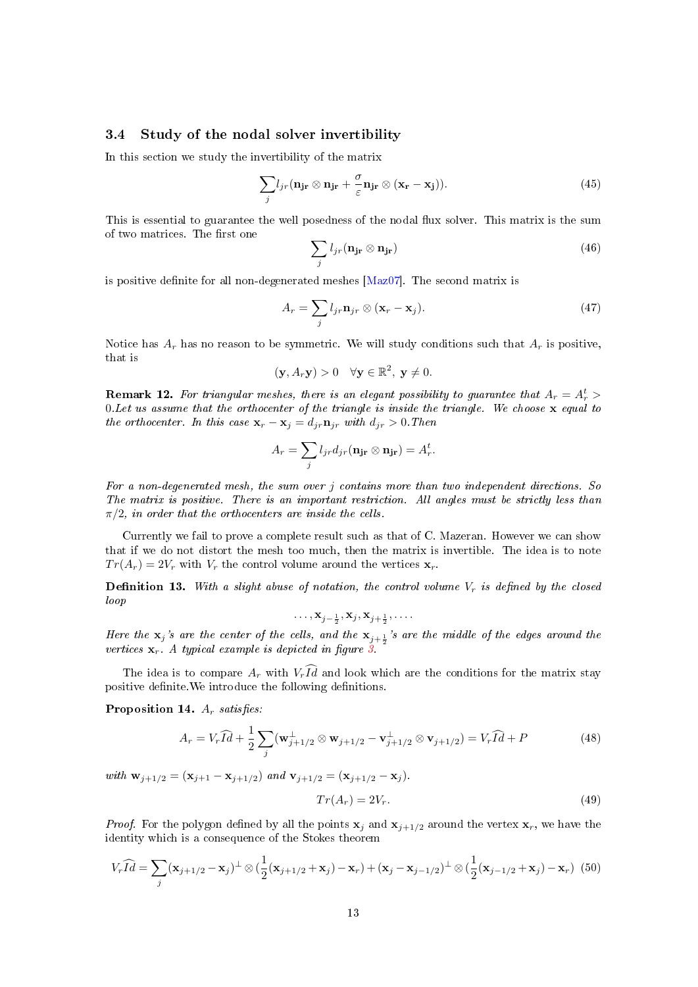# <span id="page-12-0"></span>3.4 Study of the nodal solver invertibility

In this section we study the invertibility of the matrix

$$
\sum_{j} l_{jr} (\mathbf{n}_{j\mathbf{r}} \otimes \mathbf{n}_{j\mathbf{r}} + \frac{\sigma}{\varepsilon} \mathbf{n}_{j\mathbf{r}} \otimes (\mathbf{x}_{\mathbf{r}} - \mathbf{x}_{j})).
$$
 (45)

This is essential to guarantee the well posedness of the nodal flux solver. This matrix is the sum of two matrices. The first one

$$
\sum_{j} l_{jr} (\mathbf{n}_{j\mathbf{r}} \otimes \mathbf{n}_{j\mathbf{r}}) \tag{46}
$$

is positive definite for all non-degenerated meshes  $[Maz07]$ . The second matrix is

$$
A_r = \sum_j l_{jr} \mathbf{n}_{jr} \otimes (\mathbf{x}_r - \mathbf{x}_j). \tag{47}
$$

Notice has  $A_r$  has no reason to be symmetric. We will study conditions such that  $A_r$  is positive, that is

$$
(\mathbf{y}, A_r \mathbf{y}) > 0 \quad \forall \mathbf{y} \in \mathbb{R}^2, \ \mathbf{y} \neq 0.
$$

<span id="page-12-1"></span>**Remark 12.** For triangular meshes, there is an elegant possibility to guarantee that  $A_r = A_r^t >$ 0. Let us assume that the orthocenter of the triangle is inside the triangle. We choose  $\mathbf x$  equal to the orthocenter. In this case  $\mathbf{x}_r - \mathbf{x}_j = d_{jr} \mathbf{n}_{jr}$  with  $d_{jr} > 0$ . Then

$$
A_r = \sum_j l_{jr} d_{jr} (\mathbf{n}_{jr} \otimes \mathbf{n}_{jr}) = A_r^t.
$$

For a non-degenerated mesh, the sum over j contains more than two independent directions. So The matrix is positive. There is an important restriction. All angles must be strictly less than  $\pi/2$ , in order that the orthocenters are inside the cells.

Currently we fail to prove a complete result such as that of C. Mazeran. However we can show that if we do not distort the mesh too much, then the matrix is invertible. The idea is to note  $Tr(A_r) = 2V_r$  with  $V_r$  the control volume around the vertices  $\mathbf{x}_r$ .

**Definition 13.** With a slight abuse of notation, the control volume  $V_r$  is defined by the closed loop

$$
\ldots, \mathbf{x}_{j-\frac{1}{2}}, \mathbf{x}_j, \mathbf{x}_{j+\frac{1}{2}}, \ldots
$$

Here the  $x_j$ 's are the center of the cells, and the  $x_{j+\frac{1}{2}}$ 's are the middle of the edges around the vertices  $\mathbf{x}_r$ . A typical example is depicted in figure  $\mathbf{\hat{3}}$ .

The idea is to compare  $A_r$  with  $V_r \widehat{Id}$  and look which are the conditions for the matrix stay positive definite. We introduce the following definitions.

Proposition 14.  $A_r$  satisfies:

$$
A_r = V_r \widehat{Id} + \frac{1}{2} \sum_j (\mathbf{w}_{j+1/2}^\perp \otimes \mathbf{w}_{j+1/2} - \mathbf{v}_{j+1/2}^\perp \otimes \mathbf{v}_{j+1/2}) = V_r \widehat{Id} + P
$$
(48)

with  $\mathbf{w}_{j+1/2} = (\mathbf{x}_{j+1} - \mathbf{x}_{j+1/2})$  and  $\mathbf{v}_{j+1/2} = (\mathbf{x}_{j+1/2} - \mathbf{x}_j)$ .

$$
Tr(A_r) = 2V_r. \t\t(49)
$$

*Proof.* For the polygon defined by all the points  $\mathbf{x}_j$  and  $\mathbf{x}_{j+1/2}$  around the vertex  $\mathbf{x}_r$ , we have the identity which is a consequence of the Stokes theorem

$$
V_r \widehat{Id} = \sum_j (\mathbf{x}_{j+1/2} - \mathbf{x}_j)^{\perp} \otimes \left( \frac{1}{2} (\mathbf{x}_{j+1/2} + \mathbf{x}_j) - \mathbf{x}_r \right) + (\mathbf{x}_j - \mathbf{x}_{j-1/2})^{\perp} \otimes \left( \frac{1}{2} (\mathbf{x}_{j-1/2} + \mathbf{x}_j) - \mathbf{x}_r \right) (50)
$$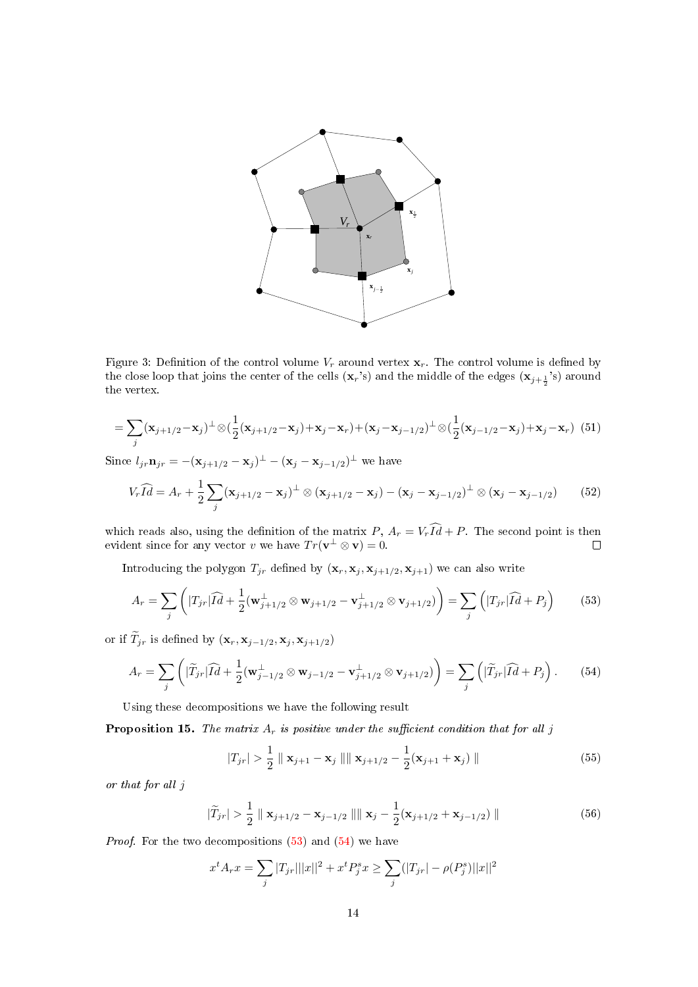

<span id="page-13-0"></span>Figure 3: Definition of the control volume  $V_r$  around vertex  $\mathbf{x}_r$ . The control volume is defined by the close loop that joins the center of the cells  $(\mathbf{x}_r)$  and the middle of the edges  $(\mathbf{x}_{j+\frac{1}{2}})$  around the vertex.

$$
= \sum_{j} (\mathbf{x}_{j+1/2} - \mathbf{x}_j)^{\perp} \otimes (\frac{1}{2} (\mathbf{x}_{j+1/2} - \mathbf{x}_j) + \mathbf{x}_j - \mathbf{x}_r) + (\mathbf{x}_j - \mathbf{x}_{j-1/2})^{\perp} \otimes (\frac{1}{2} (\mathbf{x}_{j-1/2} - \mathbf{x}_j) + \mathbf{x}_j - \mathbf{x}_r) (51)
$$

Since  $l_{jr} \mathbf{n}_{jr} = -(\mathbf{x}_{j+1/2} - \mathbf{x}_j)^{\perp} - (\mathbf{x}_j - \mathbf{x}_{j-1/2})^{\perp}$  we have

$$
V_r \widehat{Id} = A_r + \frac{1}{2} \sum_j (\mathbf{x}_{j+1/2} - \mathbf{x}_j)^{\perp} \otimes (\mathbf{x}_{j+1/2} - \mathbf{x}_j) - (\mathbf{x}_j - \mathbf{x}_{j-1/2})^{\perp} \otimes (\mathbf{x}_j - \mathbf{x}_{j-1/2}) \tag{52}
$$

which reads also, using the definition of the matrix  $P$ ,  $A_r = V_r Id + P$ . The second point is then evident since for any vector v we have  $Tr(\mathbf{v}^{\perp} \otimes \mathbf{v}) = 0$ .

Introducing the polygon  $T_{jr}$  defined by  $(\mathbf{x}_r, \mathbf{x}_j, \mathbf{x}_{j+1/2}, \mathbf{x}_{j+1})$  we can also write

<span id="page-13-1"></span>
$$
A_r = \sum_j \left( |T_{jr}| \widehat{Id} + \frac{1}{2} (\mathbf{w}_{j+1/2}^\perp \otimes \mathbf{w}_{j+1/2} - \mathbf{v}_{j+1/2}^\perp \otimes \mathbf{v}_{j+1/2}) \right) = \sum_j \left( |T_{jr}| \widehat{Id} + P_j \right) \tag{53}
$$

or if  $\widetilde{T}_{jr}$  is defined by  $(\mathbf{x}_r, \mathbf{x}_{j-1/2}, \mathbf{x}_{j}, \mathbf{x}_{j+1/2})$ 

<span id="page-13-2"></span>
$$
A_r = \sum_j \left( |\widetilde{T}_{jr}| \widehat{Id} + \frac{1}{2} (\mathbf{w}_{j-1/2}^\perp \otimes \mathbf{w}_{j-1/2} - \mathbf{v}_{j+1/2}^\perp \otimes \mathbf{v}_{j+1/2}) \right) = \sum_j \left( |\widetilde{T}_{jr}| \widehat{Id} + P_j \right). \tag{54}
$$

Using these decompositions we have the following result

**Proposition 15.** The matrix  $A_r$  is positive under the sufficient condition that for all j

<span id="page-13-3"></span>
$$
|T_{jr}| > \frac{1}{2} \parallel \mathbf{x}_{j+1} - \mathbf{x}_j \parallel ||\mathbf{x}_{j+1/2} - \frac{1}{2}(\mathbf{x}_{j+1} + \mathbf{x}_j) || \tag{55}
$$

or that for all j

<span id="page-13-4"></span>
$$
|\widetilde{T}_{jr}| > \frac{1}{2} \parallel \mathbf{x}_{j+1/2} - \mathbf{x}_{j-1/2} \parallel \parallel \mathbf{x}_{j} - \frac{1}{2} (\mathbf{x}_{j+1/2} + \mathbf{x}_{j-1/2}) \parallel
$$
\n(56)

*Proof.* For the two decompositions  $(53)$  and  $(54)$  we have

$$
x^{t} A_{r} x = \sum_{j} |T_{j} r| ||x||^{2} + x^{t} P_{j}^{s} x \ge \sum_{j} (|T_{j} r| - \rho(P_{j}^{s}) ||x||^{2}
$$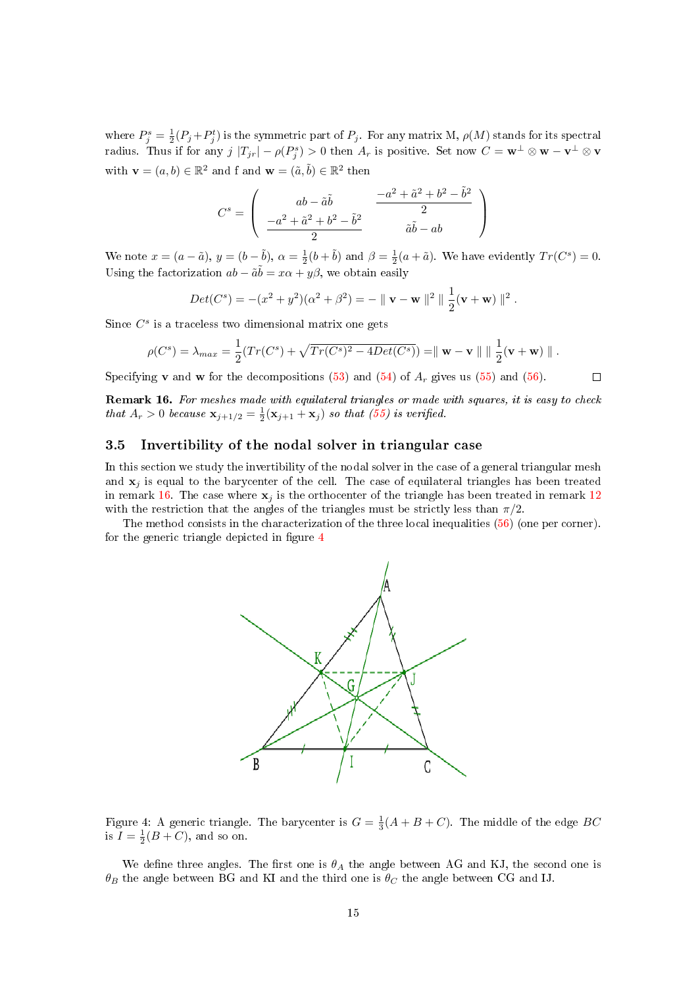where  $P_j^s = \frac{1}{2}(P_j + P_j^t)$  is the symmetric part of  $P_j$ . For any matrix M,  $\rho(M)$  stands for its spectral radius. Thus if for any  $j |T_{jr}| - \rho(P_j^s) > 0$  then  $A_r$  is positive. Set now  $C = \mathbf{w}^\perp \otimes \mathbf{w} - \mathbf{v}^\perp \otimes \mathbf{v}$ with  $\mathbf{v} = (a, b) \in \mathbb{R}^2$  and f and  $\mathbf{w} = (\tilde{a}, \tilde{b}) \in \mathbb{R}^2$  then

$$
C^s = \left(\begin{array}{cc} ab-\tilde{a}\tilde{b} & \frac{-a^2+\tilde{a}^2+b^2-\tilde{b}^2}{2} \\ \frac{-a^2+\tilde{a}^2+b^2-\tilde{b}^2}{2} & \tilde{a}\tilde{b}-ab \end{array}\right)
$$

We note  $x = (a - \tilde{a}), y = (b - \tilde{b}), \alpha = \frac{1}{2}(b + \tilde{b})$  and  $\beta = \frac{1}{2}(a + \tilde{a})$ . We have evidently  $Tr(C^s) = 0$ . Using the factorization  $ab - \tilde{a}\tilde{b} = x\alpha + y\beta$ , we obtain easily

$$
Det(C^{s}) = -(x^{2} + y^{2})(\alpha^{2} + \beta^{2}) = - || \mathbf{v} - \mathbf{w} ||^{2} || \frac{1}{2}(\mathbf{v} + \mathbf{w}) ||^{2}.
$$

Since  $C^s$  is a traceless two dimensional matrix one gets

$$
\rho(C^s) = \lambda_{max} = \frac{1}{2}(Tr(C^s) + \sqrt{Tr(C^s)^2 - 4Det(C^s)}) = || \mathbf{w} - \mathbf{v} || ||_2^2 (\mathbf{v} + \mathbf{w}) ||.
$$

Specifying **v** and **w** for the decompositions [\(53\)](#page-13-1) and [\(54\)](#page-13-2) of  $A_r$  gives us [\(55\)](#page-13-3) and [\(56\)](#page-13-4).  $\Box$ 

<span id="page-14-1"></span>Remark 16. For meshes made with equilateral triangles or made with squares, it is easy to check that  $A_r > 0$  because  $\mathbf{x}_{j+1/2} = \frac{1}{2}(\mathbf{x}_{j+1} + \mathbf{x}_j)$  so that [\(55\)](#page-13-3) is verified.

# <span id="page-14-0"></span>3.5 Invertibility of the nodal solver in triangular case

In this section we study the invertibility of the nodal solver in the case of a general triangular mesh and  $x_i$  is equal to the barycenter of the cell. The case of equilateral triangles has been treated in remark [16.](#page-14-1) The case where  $x_i$  is the orthocenter of the triangle has been treated in remark [12](#page-12-1) with the restriction that the angles of the triangles must be strictly less than  $\pi/2$ .

The method consists in the characterization of the three local inequalities [\(56\)](#page-13-4) (one per corner). for the generic triangle depicted in figure  $4$ 



<span id="page-14-2"></span>Figure 4: A generic triangle. The barycenter is  $G = \frac{1}{3}(A + B + C)$ . The middle of the edge BC is  $I = \frac{1}{2}(B+C)$ , and so on.

We define three angles. The first one is  $\theta_A$  the angle between AG and KJ, the second one is  $\theta_B$  the angle between BG and KI and the third one is  $\theta_C$  the angle between CG and IJ.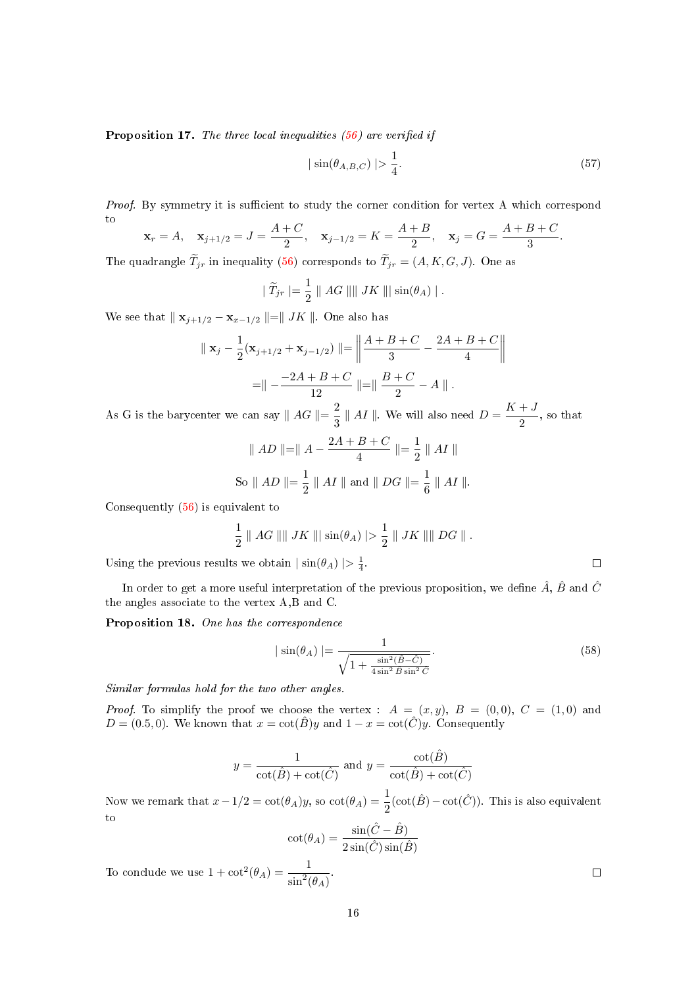**Proposition 17.** The three local inequalities  $(56)$  are verified if

<span id="page-15-0"></span>
$$
|\sin(\theta_{A,B,C})| > \frac{1}{4}.\tag{57}
$$

Proof. By symmetry it is sufficient to study the corner condition for vertex A which correspond to  $\Lambda + C$  $A + B$  $A + B + C$ 

$$
\mathbf{x}_r = A, \quad \mathbf{x}_{j+1/2} = J = \frac{A+C}{2}, \quad \mathbf{x}_{j-1/2} = K = \frac{A+B}{2}, \quad \mathbf{x}_j = G = \frac{A+B+C}{3}.
$$

The quadrangle  $T_{ir}$  in inequality [\(56\)](#page-13-4) corresponds to  $T_{ir} = (A, K, G, J)$ . One as

$$
|\widetilde{T}_{jr}| = \frac{1}{2} || AG || || JK || \sin(\theta_A) ||.
$$

We see that  $|| \mathbf{x}_{j+1/2} - \mathbf{x}_{x-1/2} ||= || JK ||$ . One also has

$$
\parallel \mathbf{x}_{j} - \frac{1}{2}(\mathbf{x}_{j+1/2} + \mathbf{x}_{j-1/2}) \parallel = \left\| \frac{A+B+C}{3} - \frac{2A+B+C}{4} \right\|
$$

$$
= \parallel -\frac{-2A+B+C}{12} \parallel = \parallel \frac{B+C}{2} - A \parallel.
$$

As G is the barycenter we can say  $\parallel AG \parallel = \frac{2}{3}$  $\frac{2}{3}$  || AI ||. We will also need  $D = \frac{K + J}{2}$  $\frac{1}{2}$ , so that

$$
||AD||=||A - \frac{2A+B+C}{4}|| = \frac{1}{2} ||AI||
$$
  
So  $||AD|| = \frac{1}{2} ||AI||$  and  $||DG|| = \frac{1}{6} ||AI||$ .

Consequently [\(56\)](#page-13-4) is equivalent to

$$
\frac{1}{2} \parallel AG \parallel \parallel JK \parallel \parallel \sin(\theta_A) \parallel > \frac{1}{2} \parallel JK \parallel \parallel DG \parallel.
$$

Using the previous results we obtain  $|\sin(\theta_A)| > \frac{1}{4}$ .

In order to get a more useful interpretation of the previous proposition, we define  $\hat{A}$ ,  $\hat{B}$  and  $\hat{C}$ the angles associate to the vertex A,B and C.

Proposition 18. One has the correspondence

<span id="page-15-1"></span>
$$
|\sin(\theta_A)| = \frac{1}{\sqrt{1 + \frac{\sin^2(\hat{B} - \hat{C})}{4\sin^2 \hat{B}\sin^2 \hat{C}}}}.\tag{58}
$$

Similar formulas hold for the two other angles.

*Proof.* To simplify the proof we choose the vertex :  $A = (x, y), B = (0, 0), C = (1, 0)$  and  $D = (0.5, 0)$ . We known that  $x = \cot(\hat{B})y$  and  $1 - x = \cot(\hat{C})y$ . Consequently

$$
y = \frac{1}{\cot(\hat{B}) + \cot(\hat{C})}
$$
 and  $y = \frac{\cot(\hat{B})}{\cot(\hat{B}) + \cot(\hat{C})}$ 

Now we remark that  $x - 1/2 = \cot(\theta_A)y$ , so  $\cot(\theta_A) = \frac{1}{2}(\cot(\hat{B}) - \cot(\hat{C}))$ . This is also equivalent to

$$
\cot(\theta_A) = \frac{\sin(\hat{C} - \hat{B})}{2\sin(\hat{C})\sin(\hat{B})}
$$

$$
= \frac{1}{\sin^2(\theta_A)}
$$

To conclude we use  $1 + \cot^2(\theta_A) = \frac{1}{\sin^2(\theta_A)}$ .

 $\Box$ 

 $\Box$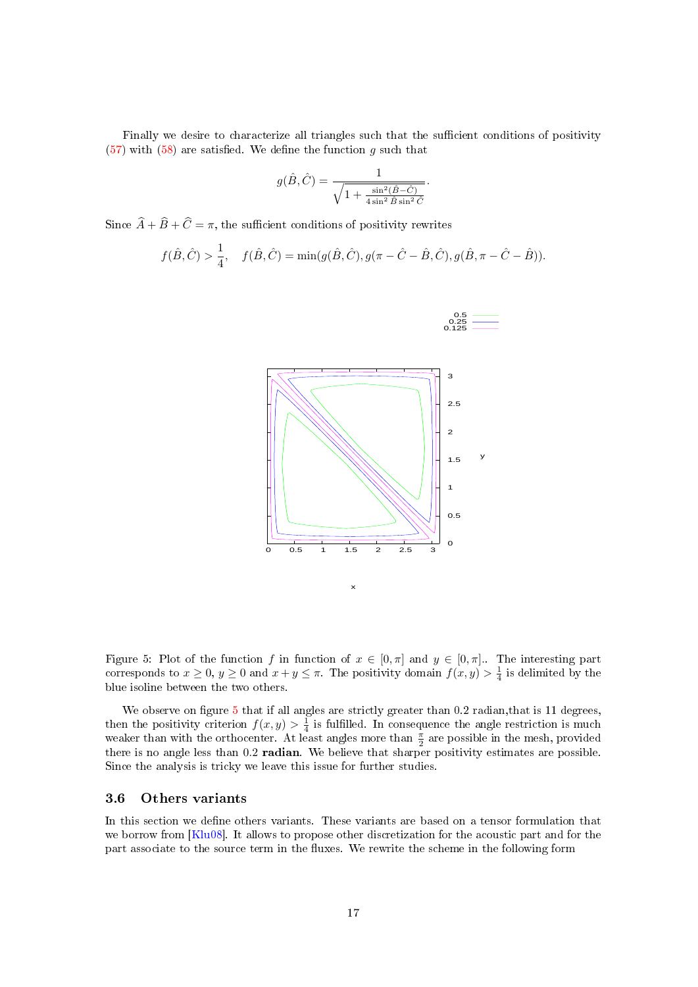Finally we desire to characterize all triangles such that the sufficient conditions of positivity  $(57)$  with  $(58)$  are satisfied. We define the function q such that

$$
g(\hat{B},\hat{C})=\frac{1}{\sqrt{1+\frac{\sin^2(\hat{B}-\hat{C})}{4\sin^2\hat{B}\sin^2\hat{C}}}}
$$

.

Since  $\widehat{A} + \widehat{B} + \widehat{C} = \pi$ , the sufficient conditions of positivity rewrites

$$
f(\hat{B}, \hat{C}) > \frac{1}{4}
$$
,  $f(\hat{B}, \hat{C}) = \min(g(\hat{B}, \hat{C}), g(\pi - \hat{C} - \hat{B}, \hat{C}), g(\hat{B}, \pi - \hat{C} - \hat{B})).$ 



<span id="page-16-1"></span>Figure 5: Plot of the function f in function of  $x \in [0, \pi]$  and  $y \in [0, \pi]$ . The interesting part corresponds to  $x \ge 0$ ,  $y \ge 0$  and  $x + y \le \pi$ . The positivity domain  $f(x, y) > \frac{1}{4}$  is delimited by the blue isoline between the two others.

We observe on figure  $5$  that if all angles are strictly greater than 0.2 radian, that is 11 degrees, then the positivity criterion  $f(x, y) > \frac{1}{4}$  is fulfilled. In consequence the angle restriction is much weaker than with the orthocenter. At least angles more than  $\frac{\pi}{2}$  are possible in the mesh, provided there is no angle less than 0.2 radian. We believe that sharper positivity estimates are possible. Since the analysis is tricky we leave this issue for further studies.

#### <span id="page-16-0"></span>3.6 Others variants

In this section we define others variants. These variants are based on a tensor formulation that we borrow from [\[Klu08\]](#page-31-3). It allows to propose other discretization for the acoustic part and for the part associate to the source term in the fluxes. We rewrite the scheme in the following form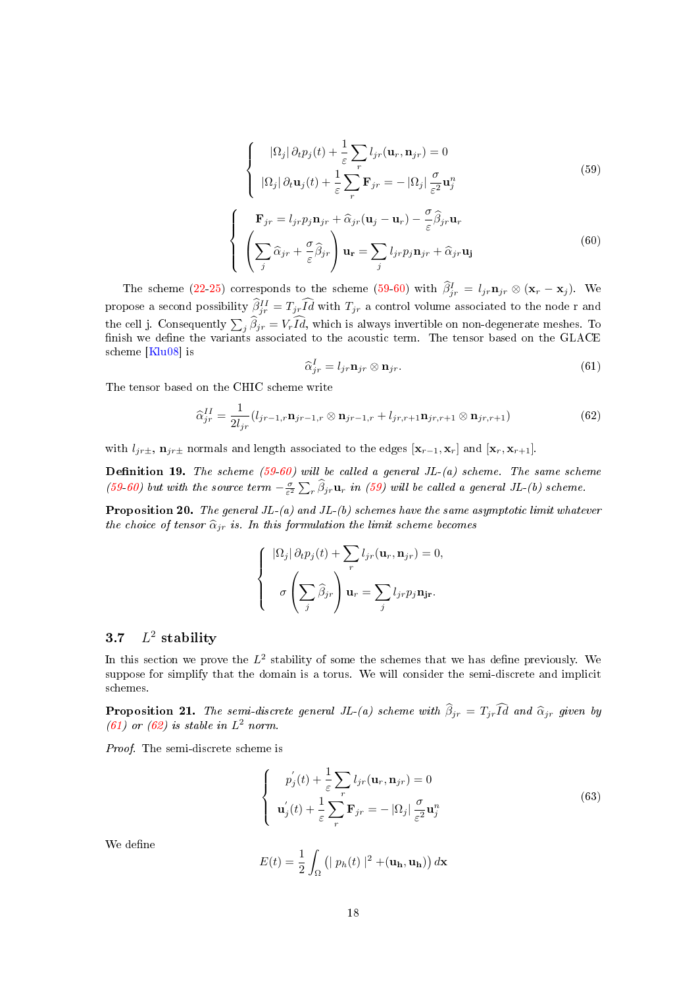<span id="page-17-1"></span>
$$
\begin{cases}\n|\Omega_j|\,\partial_t p_j(t) + \frac{1}{\varepsilon} \sum_r l_{jr}(\mathbf{u}_r, \mathbf{n}_{jr}) = 0 \\
|\Omega_j|\,\partial_t \mathbf{u}_j(t) + \frac{1}{\varepsilon} \sum_r \mathbf{F}_{jr} = -|\Omega_j| \frac{\sigma}{\varepsilon^2} \mathbf{u}_j^n\n\end{cases}
$$
\n(59)

<span id="page-17-2"></span>
$$
\begin{cases}\n\mathbf{F}_{jr} = l_{jr} p_j \mathbf{n}_{jr} + \hat{\alpha}_{jr} (\mathbf{u}_j - \mathbf{u}_r) - \frac{\sigma}{\varepsilon} \hat{\beta}_{jr} \mathbf{u}_r \\
\left(\sum_j \hat{\alpha}_{jr} + \frac{\sigma}{\varepsilon} \hat{\beta}_{jr}\right) \mathbf{u}_r = \sum_j l_{jr} p_j \mathbf{n}_{jr} + \hat{\alpha}_{jr} \mathbf{u}_j\n\end{cases}
$$
\n(60)

The scheme [\(22-](#page-9-2)[25\)](#page-9-3) corresponds to the scheme [\(59-](#page-17-1)[60\)](#page-17-2) with  $\hat{\beta}_{jr}^I = l_{jr} \mathbf{n}_{jr} \otimes (\mathbf{x}_r - \mathbf{x}_j)$ . We propose a second possibility  $\widehat{\beta}_{jr}^{II} = T_{jr} \widehat{Id}$  with  $T_{jr}$  a control volume associated to the node r and the cell j. Consequently  $\sum_j \beta_{jr} = V_r Id$ , which is always invertible on non-degenerate meshes. To finish we define the variants associated to the acoustic term. The tensor based on the GLACE scheme [\[Klu08\]](#page-31-3) is

<span id="page-17-3"></span>
$$
\widehat{\alpha}_{jr}^I = l_{jr} \mathbf{n}_{jr} \otimes \mathbf{n}_{jr}.\tag{61}
$$

The tensor based on the CHIC scheme write

<span id="page-17-4"></span>
$$
\widehat{\alpha}_{jr}^{II} = \frac{1}{2l_{jr}} (l_{jr-1,r} \mathbf{n}_{jr-1,r} \otimes \mathbf{n}_{jr-1,r} + l_{jr,r+1} \mathbf{n}_{jr,r+1} \otimes \mathbf{n}_{jr,r+1})
$$
(62)

with  $l_{jr\pm}$ ,  $\mathbf{n}_{jr\pm}$  normals and length associated to the edges  $[\mathbf{x}_{r-1}, \mathbf{x}_r]$  and  $[\mathbf{x}_r, \mathbf{x}_{r+1}]$ .

**Definition 19.** The scheme [\(59](#page-17-1)[-60\)](#page-17-2) will be called a general JL-(a) scheme. The same scheme [\(59](#page-17-1)[-60\)](#page-17-2) but with the source term  $-\frac{\sigma}{\varepsilon^2}\sum_r \widehat{\beta}_{jr} \mathbf{u}_r$  in [\(59\)](#page-17-1) will be called a general JL-(b) scheme.

**Proposition 20.** The general  $JL-(a)$  and  $JL-(b)$  schemes have the same asymptotic limit whatever the choice of tensor  $\hat{\alpha}_{jr}$  is. In this formulation the limit scheme becomes

$$
\begin{cases}\n\left|\Omega_j\right| \partial_t p_j(t) + \sum_r l_{jr}(\mathbf{u}_r, \mathbf{n}_{jr}) = 0, \\
\sigma \left(\sum_j \widehat{\beta}_{jr}\right) \mathbf{u}_r = \sum_j l_{jr} p_j \mathbf{n}_{jr}.\n\end{cases}
$$

#### <span id="page-17-0"></span>3.7 L  $^{2}$  stability

In this section we prove the  $L^2$  stability of some the schemes that we has define previously. We suppose for simplify that the domain is a torus. We will consider the semi-discrete and implicit schemes.

**Proposition 21.** The semi-discrete general JL-(a) scheme with  $\hat{\beta}_{ir} = T_{ir}\hat{Id}$  and  $\hat{\alpha}_{ir}$  given by [\(61\)](#page-17-3) or [\(62\)](#page-17-4) is stable in  $L^2$  norm.

Proof. The semi-discrete scheme is

$$
\begin{cases}\n p_j'(t) + \frac{1}{\varepsilon} \sum_r l_{jr}(\mathbf{u}_r, \mathbf{n}_{jr}) = 0 \\
 \mathbf{u}_j'(t) + \frac{1}{\varepsilon} \sum_r \mathbf{F}_{jr} = -|\Omega_j| \frac{\sigma}{\varepsilon^2} \mathbf{u}_j^n\n\end{cases}
$$
\n(63)

We define

$$
E(t) = \frac{1}{2} \int_{\Omega} \left( | p_h(t) |^2 + (\mathbf{u_h}, \mathbf{u_h}) \right) d\mathbf{x}
$$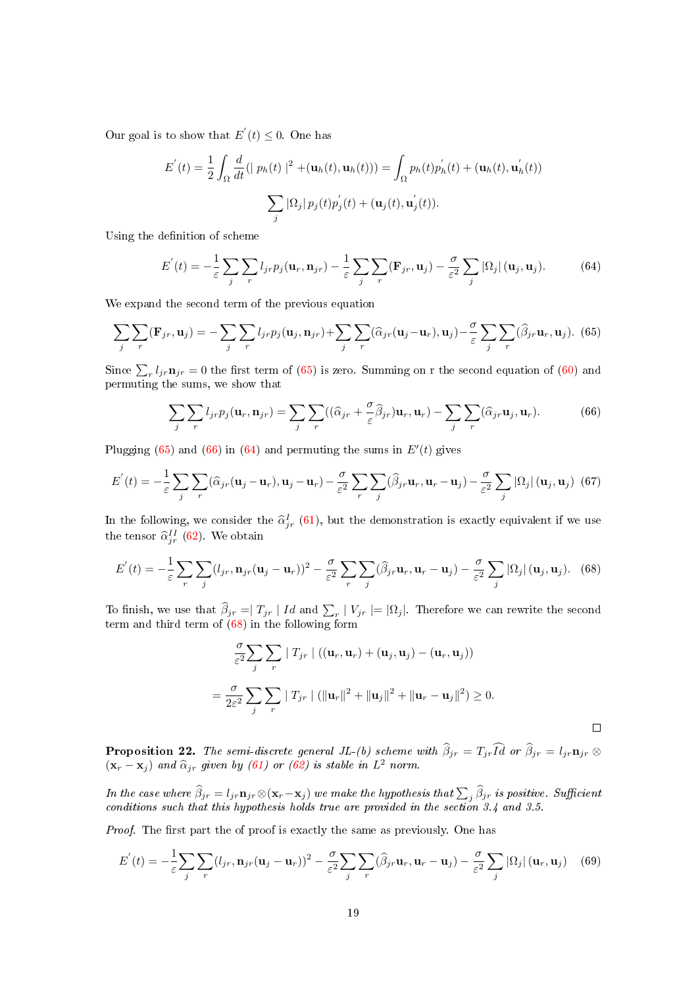Our goal is to show that  $E'(t) \leq 0$ . One has

$$
E'(t) = \frac{1}{2} \int_{\Omega} \frac{d}{dt} (|p_h(t)|^2 + (\mathbf{u}_h(t), \mathbf{u}_h(t))) = \int_{\Omega} p_h(t) p_h'(t) + (\mathbf{u}_h(t), \mathbf{u}_h'(t))
$$

$$
\sum_j |\Omega_j| p_j(t) p_j'(t) + (\mathbf{u}_j(t), \mathbf{u}_j'(t)).
$$

Using the definition of scheme

<span id="page-18-2"></span>
$$
E'(t) = -\frac{1}{\varepsilon} \sum_{j} \sum_{r} l_{jr} p_j(\mathbf{u}_r, \mathbf{n}_{jr}) - \frac{1}{\varepsilon} \sum_{j} \sum_{r} (\mathbf{F}_{jr}, \mathbf{u}_j) - \frac{\sigma}{\varepsilon^2} \sum_{j} |\Omega_j| (\mathbf{u}_j, \mathbf{u}_j).
$$
 (64)

We expand the second term of the previous equation

<span id="page-18-0"></span>
$$
\sum_{j} \sum_{r} (\mathbf{F}_{jr}, \mathbf{u}_j) = -\sum_{j} \sum_{r} l_{jr} p_j(\mathbf{u}_j, \mathbf{n}_{jr}) + \sum_{j} \sum_{r} (\widehat{\alpha}_{jr}(\mathbf{u}_j - \mathbf{u}_r), \mathbf{u}_j) - \frac{\sigma}{\varepsilon} \sum_{j} \sum_{r} (\widehat{\beta}_{jr} \mathbf{u}_r, \mathbf{u}_j).
$$
 (65)

Since  $\sum_{r} l_{jr} \mathbf{n}_{jr} = 0$  the first term of [\(65\)](#page-18-0) is zero. Summing on r the second equation of [\(60\)](#page-17-2) and permuting the sums, we show that

<span id="page-18-1"></span>
$$
\sum_{j} \sum_{r} l_{jr} p_j(\mathbf{u}_r, \mathbf{n}_{jr}) = \sum_{j} \sum_{r} ((\widehat{\alpha}_{jr} + \frac{\sigma}{\varepsilon} \widehat{\beta}_{jr}) \mathbf{u}_r, \mathbf{u}_r) - \sum_{j} \sum_{r} (\widehat{\alpha}_{jr} \mathbf{u}_j, \mathbf{u}_r). \tag{66}
$$

Plugging  $(65)$  and  $(66)$  in  $(64)$  and permuting the sums in  $E'(t)$  gives

$$
E^{'}(t) = -\frac{1}{\varepsilon} \sum_{j} \sum_{r} (\widehat{\alpha}_{jr}(\mathbf{u}_j - \mathbf{u}_r), \mathbf{u}_j - \mathbf{u}_r) - \frac{\sigma}{\varepsilon^2} \sum_{r} \sum_{j} (\widehat{\beta}_{jr} \mathbf{u}_r, \mathbf{u}_r - \mathbf{u}_j) - \frac{\sigma}{\varepsilon^2} \sum_{j} |\Omega_j| (\mathbf{u}_j, \mathbf{u}_j) (67)
$$

In the following, we consider the  $\hat{\alpha}_{jr}^{I}$  [\(61\)](#page-17-3), but the demonstration is exactly equivalent if we use the tensor  $\hat{\alpha}_{jr}^{II}$  [\(62\)](#page-17-4). We obtain

<span id="page-18-3"></span>
$$
E'(t) = -\frac{1}{\varepsilon} \sum_{r} \sum_{j} (l_{jr}, \mathbf{n}_{jr}(\mathbf{u}_j - \mathbf{u}_r))^2 - \frac{\sigma}{\varepsilon^2} \sum_{r} \sum_{j} (\widehat{\beta}_{jr} \mathbf{u}_r, \mathbf{u}_r - \mathbf{u}_j) - \frac{\sigma}{\varepsilon^2} \sum_{j} |\Omega_j| (\mathbf{u}_j, \mathbf{u}_j).
$$
 (68)

To finish, we use that  $\beta_{jr} = T_{jr} | Id$  and  $\sum_r |V_{jr}| = |\Omega_j|$ . Therefore we can rewrite the second term and third term of [\(68\)](#page-18-3) in the following form

$$
\frac{\sigma}{\varepsilon^2} \sum_{j} \sum_{r} |T_{jr}| ((\mathbf{u}_r, \mathbf{u}_r) + (\mathbf{u}_j, \mathbf{u}_j) - (\mathbf{u}_r, \mathbf{u}_j))
$$
  
= 
$$
\frac{\sigma}{2\varepsilon^2} \sum_{j} \sum_{r} |T_{jr}| (||\mathbf{u}_r||^2 + ||\mathbf{u}_j||^2 + ||\mathbf{u}_r - \mathbf{u}_j||^2) \ge 0.
$$

**Proposition 22.** The semi-discrete general JL-(b) scheme with  $\beta_{jr} = T_{jr}Id$  or  $\beta_{jr} = l_{jr} \mathbf{n}_{jr} \otimes$  $(\mathbf{x}_r - \mathbf{x}_j)$  and  $\widehat{\alpha}_{jr}$  given by [\(61\)](#page-17-3) or [\(62\)](#page-17-4) is stable in  $L^2$  norm.

In the case where  $\beta_{jr} = l_{jr} \mathbf{n}_{jr} \otimes (\mathbf{x}_r - \mathbf{x}_j)$  we make the hypothesis that  $\sum_j \beta_{jr}$  is positive. Sufficient conditions such that this hypothesis holds true are provided in the section 3.4 and 3.5.

Proof. The first part the of proof is exactly the same as previously. One has

$$
E'(t) = -\frac{1}{\varepsilon} \sum_{j} \sum_{r} (l_{jr}, \mathbf{n}_{jr}(\mathbf{u}_j - \mathbf{u}_r))^2 - \frac{\sigma}{\varepsilon^2} \sum_{j} \sum_{r} (\widehat{\beta}_{jr} \mathbf{u}_r, \mathbf{u}_r - \mathbf{u}_j) - \frac{\sigma}{\varepsilon^2} \sum_{j} |\Omega_j| (\mathbf{u}_r, \mathbf{u}_j) \quad (69)
$$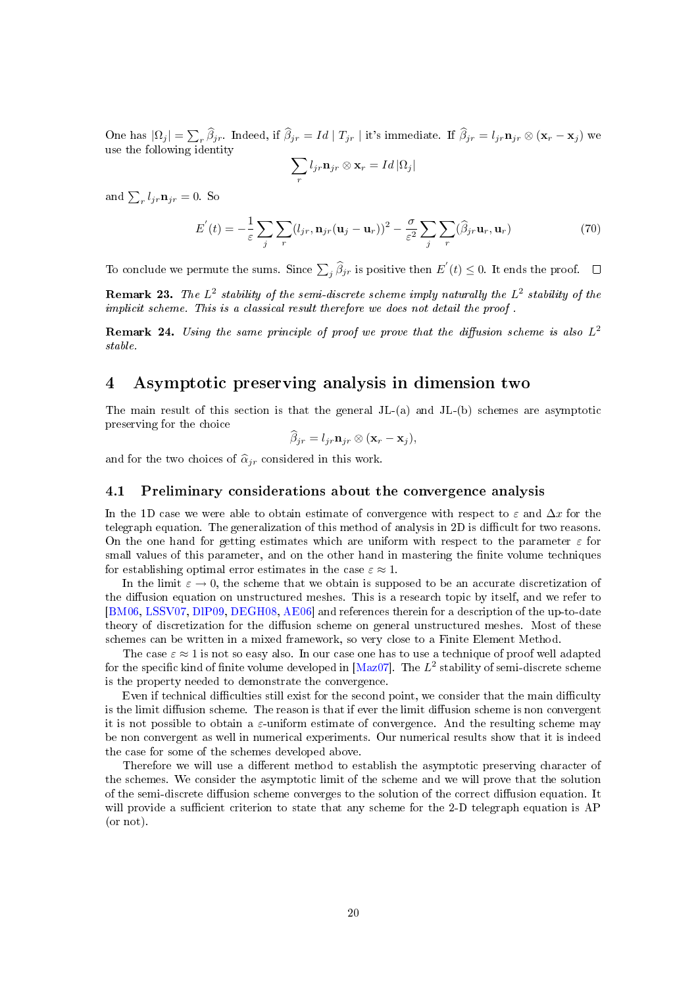One has  $|\Omega_j| = \sum_r \beta_{jr}$ . Indeed, if  $\beta_{jr} = Id | T_{jr} |$  it's immediate. If  $\beta_{jr} = l_{jr} \mathbf{n}_{jr} \otimes (\mathbf{x}_r - \mathbf{x}_j)$  we use the following identity

$$
\sum_r l_{jr} \mathbf{n}_{jr} \otimes \mathbf{x}_r = Id \, |\Omega_j|
$$

and  $\sum_{r} l_{jr} \mathbf{n}_{jr} = 0$ . So

$$
E'(t) = -\frac{1}{\varepsilon} \sum_{j} \sum_{r} (l_{jr}, \mathbf{n}_{jr}(\mathbf{u}_j - \mathbf{u}_r))^2 - \frac{\sigma}{\varepsilon^2} \sum_{j} \sum_{r} (\widehat{\beta}_{jr} \mathbf{u}_r, \mathbf{u}_r)
$$
(70)

To conclude we permute the sums. Since  $\sum_j \widehat{\beta}_{jr}$  is positive then  $E^{'}(t) \leq 0$ . It ends the proof.

**Remark 23.** The  $L^2$  stability of the semi-discrete scheme imply naturally the  $L^2$  stability of the implicit scheme. This is a classical result therefore we does not detail the proof .

**Remark 24.** Using the same principle of proof we prove that the diffusion scheme is also  $L^2$ stable.

# <span id="page-19-0"></span>4 Asymptotic preserving analysis in dimension two

The main result of this section is that the general  $JL-(a)$  and  $JL-(b)$  schemes are asymptotic preserving for the choice

$$
\widehat{\beta}_{jr} = l_{jr} \mathbf{n}_{jr} \otimes (\mathbf{x}_r - \mathbf{x}_j),
$$

and for the two choices of  $\hat{\alpha}_{jr}$  considered in this work.

#### <span id="page-19-1"></span>4.1 Preliminary considerations about the convergence analysis

In the 1D case we were able to obtain estimate of convergence with respect to  $\varepsilon$  and  $\Delta x$  for the telegraph equation. The generalization of this method of analysis in 2D is difficult for two reasons. On the one hand for getting estimates which are uniform with respect to the parameter  $\varepsilon$  for small values of this parameter, and on the other hand in mastering the finite volume techniques for establishing optimal error estimates in the case  $\varepsilon \approx 1$ .

In the limit  $\varepsilon \to 0$ , the scheme that we obtain is supposed to be an accurate discretization of the diffusion equation on unstructured meshes. This is a research topic by itself, and we refer to [\[BM06,](#page-30-8) [LSSV07,](#page-31-4) [DlP09,](#page-30-9) [DEGH08,](#page-30-10) [AE06\]](#page-30-11) and references therein for a description of the up-to-date theory of discretization for the diffusion scheme on general unstructured meshes. Most of these schemes can be written in a mixed framework, so very close to a Finite Element Method.

The case  $\varepsilon \approx 1$  is not so easy also. In our case one has to use a technique of proof well adapted for the specific kind of finite volume developed in [\[Maz07\]](#page-31-0). The  $L^2$  stability of semi-discrete scheme is the property needed to demonstrate the convergence.

Even if technical difficulties still exist for the second point, we consider that the main difficulty is the limit diffusion scheme. The reason is that if ever the limit diffusion scheme is non convergent it is not possible to obtain a  $\varepsilon$ -uniform estimate of convergence. And the resulting scheme may be non convergent as well in numerical experiments. Our numerical results show that it is indeed the case for some of the schemes developed above.

Therefore we will use a different method to establish the asymptotic preserving character of the schemes. We consider the asymptotic limit of the scheme and we will prove that the solution of the semi-discrete diffusion scheme converges to the solution of the correct diffusion equation. It will provide a sufficient criterion to state that any scheme for the 2-D telegraph equation is  $AP$ (or not).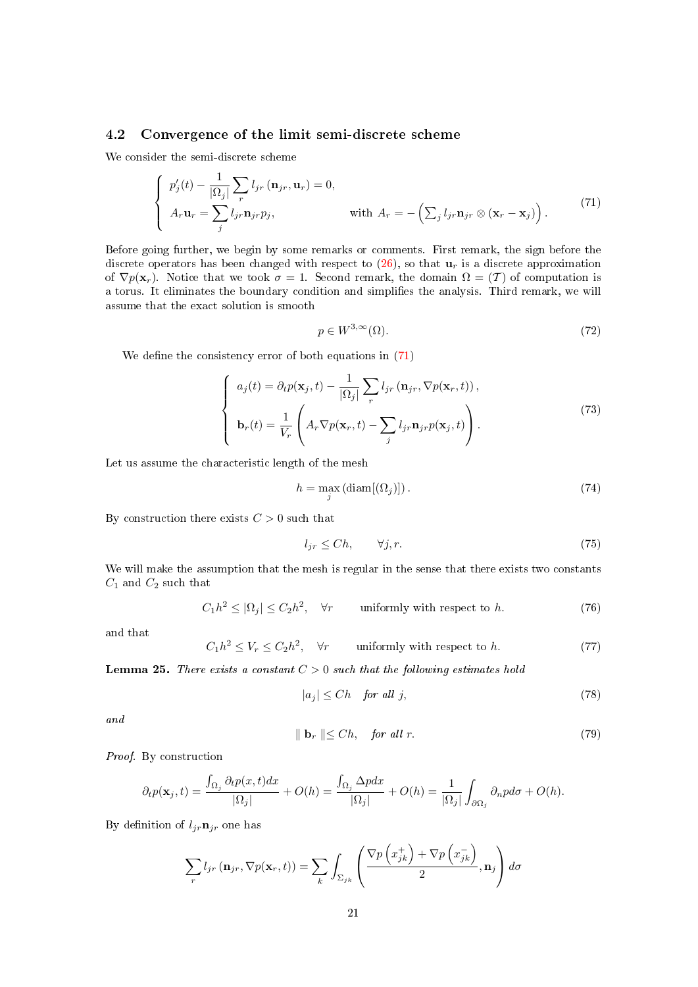# <span id="page-20-0"></span>4.2 Convergence of the limit semi-discrete scheme

We consider the semi-discrete scheme

<span id="page-20-1"></span>
$$
\begin{cases}\np'_j(t) - \frac{1}{|\Omega_j|} \sum_r l_{jr} (\mathbf{n}_{jr}, \mathbf{u}_r) = 0, \\
A_r \mathbf{u}_r = \sum_j l_{jr} \mathbf{n}_{jr} p_j, & \text{with } A_r = -\left(\sum_j l_{jr} \mathbf{n}_{jr} \otimes (\mathbf{x}_r - \mathbf{x}_j)\right). \n\end{cases} \n\tag{71}
$$

Before going further, we begin by some remarks or comments. First remark, the sign before the discrete operators has been changed with respect to  $(26)$ , so that  $\mathbf{u}_r$  is a discrete approximation of  $\nabla p(\mathbf{x}_r)$ . Notice that we took  $\sigma = 1$ . Second remark, the domain  $\Omega = (\mathcal{T})$  of computation is a torus. It eliminates the boundary condition and simplifies the analysis. Third remark, we will assume that the exact solution is smooth

$$
p \in W^{3,\infty}(\Omega). \tag{72}
$$

We define the consistency error of both equations in  $(71)$ 

$$
\begin{cases}\na_j(t) = \partial_t p(\mathbf{x}_j, t) - \frac{1}{|\Omega_j|} \sum_r l_{jr} (\mathbf{n}_{jr}, \nabla p(\mathbf{x}_r, t)), \\
\mathbf{b}_r(t) = \frac{1}{V_r} \left( A_r \nabla p(\mathbf{x}_r, t) - \sum_j l_{jr} \mathbf{n}_{jr} p(\mathbf{x}_j, t) \right).\n\end{cases} \tag{73}
$$

Let us assume the characteristic length of the mesh

$$
h = \max_{j} \left( \text{diam}[(\Omega_j)] \right). \tag{74}
$$

By construction there exists  $C > 0$  such that

<span id="page-20-3"></span>
$$
l_{jr} \le Ch, \qquad \forall j, r. \tag{75}
$$

We will make the assumption that the mesh is regular in the sense that there exists two constants  $C_1$  and  $C_2$  such that

<span id="page-20-2"></span>
$$
C_1 h^2 \le |\Omega_j| \le C_2 h^2, \quad \forall r \qquad \text{uniformly with respect to } h. \tag{76}
$$

and that

<span id="page-20-4"></span>
$$
C_1 h^2 \le V_r \le C_2 h^2, \quad \forall r \qquad \text{uniformly with respect to } h. \tag{77}
$$

**Lemma 25.** There exists a constant  $C > 0$  such that the following estimates hold

<span id="page-20-5"></span>
$$
|a_j| \le Ch \quad \text{for all } j,\tag{78}
$$

and

<span id="page-20-6"></span>
$$
\parallel \mathbf{b}_r \parallel \leq Ch, \quad \textit{for all } r. \tag{79}
$$

Proof. By construction

$$
\partial_t p(\mathbf{x}_j, t) = \frac{\int_{\Omega_j} \partial_t p(x, t) dx}{|\Omega_j|} + O(h) = \frac{\int_{\Omega_j} \Delta p dx}{|\Omega_j|} + O(h) = \frac{1}{|\Omega_j|} \int_{\partial \Omega_j} \partial_n p d\sigma + O(h).
$$

By definition of  $l_{jr} \mathbf{n}_{jr}$  one has

$$
\sum_{r} l_{jr} (\mathbf{n}_{jr}, \nabla p(\mathbf{x}_r, t)) = \sum_{k} \int_{\Sigma_{jk}} \left( \frac{\nabla p\left(x_{jk}^+\right) + \nabla p\left(x_{jk}^-\right)}{2}, \mathbf{n}_j \right) d\sigma
$$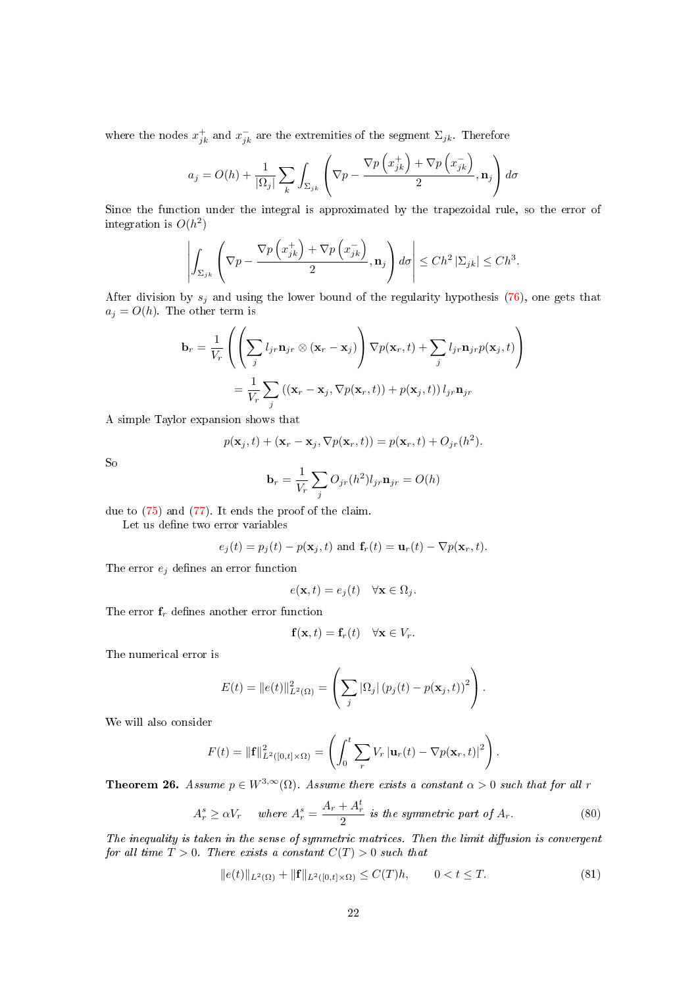where the nodes  $x_{jk}^+$  and  $x_{jk}^-$  are the extremities of the segment  $\Sigma_{jk}$ . Therefore

$$
a_j = O(h) + \frac{1}{|\Omega_j|} \sum_k \int_{\Sigma_{jk}} \left( \nabla p - \frac{\nabla p\left(x_{jk}^+\right) + \nabla p\left(x_{jk}^-\right)}{2}, \mathbf{n}_j \right) d\sigma
$$

Since the function under the integral is approximated by the trapezoidal rule, so the error of integration is  $O(h^2)$ 

$$
\left| \int_{\Sigma_{jk}} \left( \nabla p - \frac{\nabla p\left(x_{jk}^+\right) + \nabla p\left(x_{jk}^-\right)}{2}, \mathbf{n}_j \right) d\sigma \right| \le Ch^2 \left| \Sigma_{jk} \right| \le Ch^3.
$$

After division by  $s_j$  and using the lower bound of the regularity hypothesis [\(76\)](#page-20-2), one gets that  $a_j = O(h)$ . The other term is

$$
\mathbf{b}_r = \frac{1}{V_r} \left( \left( \sum_j l_{jr} \mathbf{n}_{jr} \otimes (\mathbf{x}_r - \mathbf{x}_j) \right) \nabla p(\mathbf{x}_r, t) + \sum_j l_{jr} \mathbf{n}_{jr} p(\mathbf{x}_j, t) \right)
$$
  
= 
$$
\frac{1}{V_r} \sum_j \left( (\mathbf{x}_r - \mathbf{x}_j, \nabla p(\mathbf{x}_r, t)) + p(\mathbf{x}_j, t) \right) l_{jr} \mathbf{n}_{jr}
$$

A simple Taylor expansion shows that

$$
p(\mathbf{x}_j, t) + (\mathbf{x}_r - \mathbf{x}_j, \nabla p(\mathbf{x}_r, t)) = p(\mathbf{x}_r, t) + O_{jr}(h^2).
$$

So

$$
\mathbf{b}_r = \frac{1}{V_r} \sum_j O_{jr}(h^2) l_{jr} \mathbf{n}_{jr} = O(h)
$$

due to [\(75\)](#page-20-3) and [\(77\)](#page-20-4). It ends the proof of the claim.

Let us define two error variables

$$
e_j(t) = p_j(t) - p(\mathbf{x}_j, t)
$$
 and  $\mathbf{f}_r(t) = \mathbf{u}_r(t) - \nabla p(\mathbf{x}_r, t)$ .

The error  $e_j$  defines an error function

$$
e(\mathbf{x},t) = e_j(t) \quad \forall \mathbf{x} \in \Omega_j.
$$

The error  $f_r$  defines another error function

$$
\mathbf{f}(\mathbf{x},t) = \mathbf{f}_r(t) \quad \forall \mathbf{x} \in V_r.
$$

The numerical error is

$$
E(t) = ||e(t)||_{L^{2}(\Omega)}^{2} = \left(\sum_{j} |\Omega_{j}| (p_{j}(t) - p(\mathbf{x}_{j}, t))^{2}\right).
$$

We will also consider

$$
F(t) = \|\mathbf{f}\|_{L^2([0,t]\times\Omega)}^2 = \left(\int_0^t \sum_r V_r |\mathbf{u}_r(t) - \nabla p(\mathbf{x}_r, t)|^2\right).
$$

**Theorem 26.** Assume  $p \in W^{3,\infty}(\Omega)$ . Assume there exists a constant  $\alpha > 0$  such that for all r

$$
A_r^s \ge \alpha V_r \quad \text{where } A_r^s = \frac{A_r + A_r^t}{2} \text{ is the symmetric part of } A_r. \tag{80}
$$

The inequality is taken in the sense of symmetric matrices. Then the limit diffusion is convergent for all time  $T > 0$ . There exists a constant  $C(T) > 0$  such that

<span id="page-21-0"></span>
$$
||e(t)||_{L^{2}(\Omega)} + ||\mathbf{f}||_{L^{2}([0,t]\times\Omega)} \leq C(T)h, \qquad 0 < t \leq T. \tag{81}
$$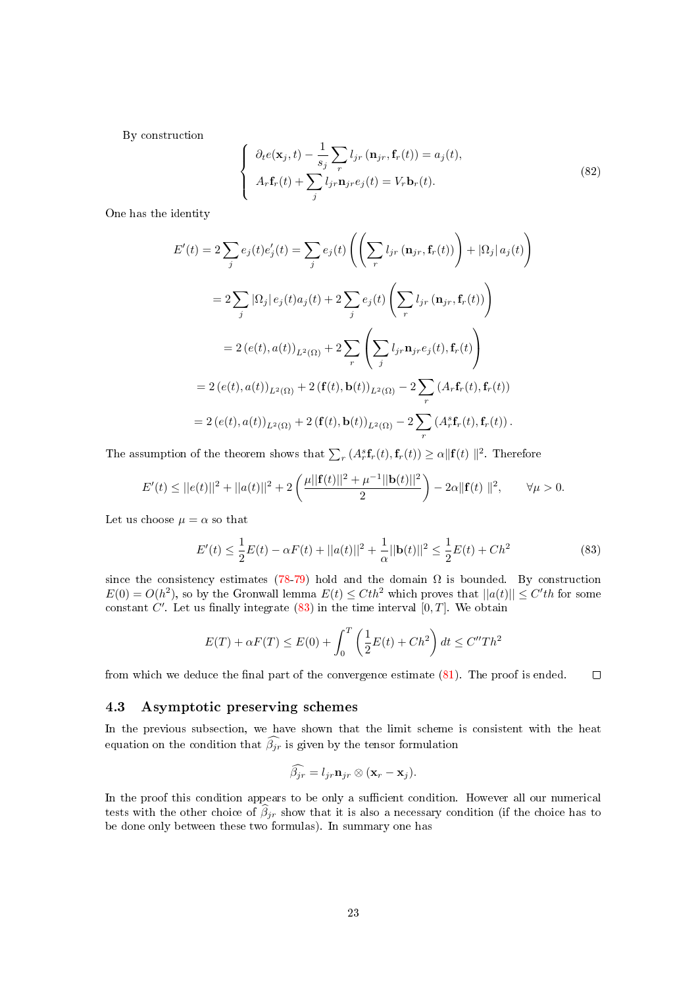By construction

$$
\begin{cases}\n\partial_t e(\mathbf{x}_j, t) - \frac{1}{s_j} \sum_r l_{jr} (\mathbf{n}_{jr}, \mathbf{f}_r(t)) = a_j(t), \\
A_r \mathbf{f}_r(t) + \sum_j l_{jr} \mathbf{n}_{jr} e_j(t) = V_r \mathbf{b}_r(t).\n\end{cases}
$$
\n(82)

One has the identity

$$
E'(t) = 2\sum_{j} e_j(t)e'_j(t) = \sum_{j} e_j(t)\left(\left(\sum_{r} l_{jr}(\mathbf{n}_{jr}, \mathbf{f}_r(t))\right) + |\Omega_j| a_j(t)\right)
$$
  

$$
= 2\sum_{j} |\Omega_j| e_j(t)a_j(t) + 2\sum_{j} e_j(t)\left(\sum_{r} l_{jr}(\mathbf{n}_{jr}, \mathbf{f}_r(t))\right)
$$
  

$$
= 2(e(t), a(t))_{L^2(\Omega)} + 2\sum_{r} \left(\sum_{j} l_{jr} \mathbf{n}_{jr} e_j(t), \mathbf{f}_r(t)\right)
$$
  

$$
= 2(e(t), a(t))_{L^2(\Omega)} + 2(\mathbf{f}(t), \mathbf{b}(t))_{L^2(\Omega)} - 2\sum_{r} (A_r \mathbf{f}_r(t), \mathbf{f}_r(t))
$$
  

$$
= 2(e(t), a(t))_{L^2(\Omega)} + 2(\mathbf{f}(t), \mathbf{b}(t))_{L^2(\Omega)} - 2\sum_{r} (A_r^s \mathbf{f}_r(t), \mathbf{f}_r(t)).
$$

The assumption of the theorem shows that  $\sum_r (A_r^s \mathbf{f}_r(t), \mathbf{f}_r(t)) \ge \alpha ||\mathbf{f}(t)||^2$ . Therefore

$$
E'(t) \le ||e(t)||^2 + ||a(t)||^2 + 2\left(\frac{\mu||\mathbf{f}(t)||^2 + \mu^{-1}||\mathbf{b}(t)||^2}{2}\right) - 2\alpha||\mathbf{f}(t)||^2, \qquad \forall \mu > 0.
$$

Let us choose  $\mu = \alpha$  so that

<span id="page-22-1"></span>
$$
E'(t) \le \frac{1}{2}E(t) - \alpha F(t) + ||a(t)||^2 + \frac{1}{\alpha}||\mathbf{b}(t)||^2 \le \frac{1}{2}E(t) + Ch^2
$$
\n(83)

since the consistency estimates [\(78-](#page-20-5)[79\)](#page-20-6) hold and the domain  $\Omega$  is bounded. By construction  $E(0) = O(h^2)$ , so by the Gronwall lemma  $E(t) \leq Cth^2$  which proves that  $||a(t)|| \leq C'th$  for some constant  $C'$ . Let us finally integrate  $(83)$  in the time interval  $[0, T]$ . We obtain

$$
E(T) + \alpha F(T) \le E(0) + \int_0^T \left(\frac{1}{2}E(t) + Ch^2\right) dt \le C''Th^2
$$

from which we deduce the final part of the convergence estimate  $(81)$ . The proof is ended.  $\Box$ 

### <span id="page-22-0"></span>4.3 Asymptotic preserving schemes

In the previous subsection, we have shown that the limit scheme is consistent with the heat equation on the condition that  $\widehat{\beta}_{ir}$  is given by the tensor formulation

$$
\widehat{\beta_{jr}} = l_{jr} \mathbf{n}_{jr} \otimes (\mathbf{x}_r - \mathbf{x}_j).
$$

In the proof this condition appears to be only a sufficient condition. However all our numerical tests with the other choice of  $\hat{\beta}_{jr}$  show that it is also a necessary condition (if the choice has to be done only between these two formulas). In summary one has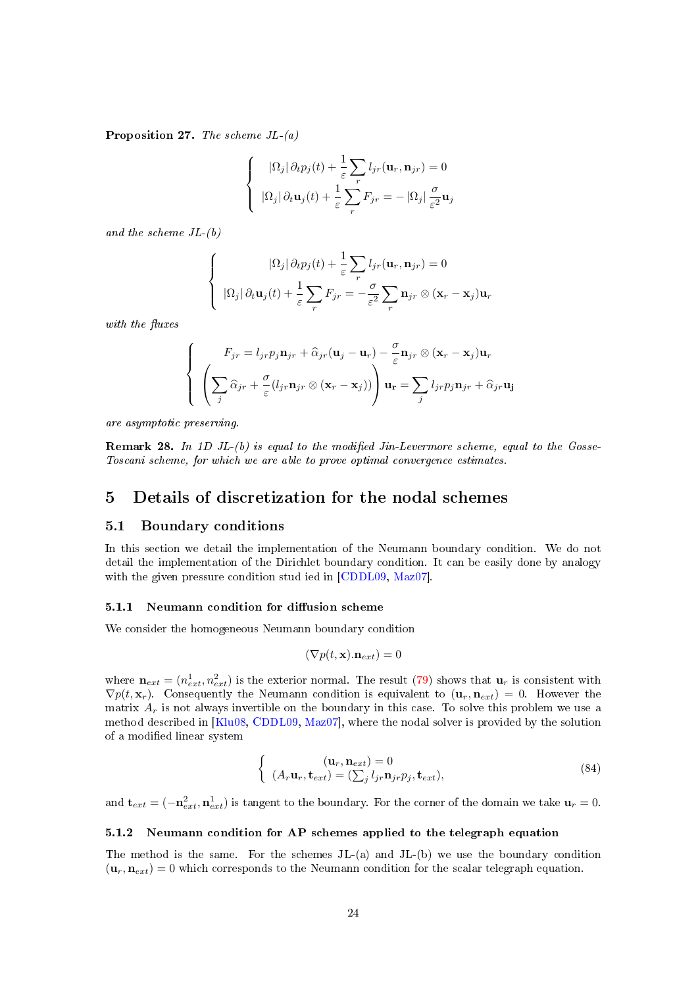**Proposition 27.** The scheme  $JL-(a)$ 

$$
\begin{cases} |\Omega_j| \partial_t p_j(t) + \frac{1}{\varepsilon} \sum_r l_{jr}(\mathbf{u}_r, \mathbf{n}_{jr}) = 0 \\ |\Omega_j| \partial_t \mathbf{u}_j(t) + \frac{1}{\varepsilon} \sum_r F_{jr} = -|\Omega_j| \frac{\sigma}{\varepsilon^2} \mathbf{u}_j \end{cases}
$$

and the scheme  $JL-(b)$ 

$$
\begin{cases}\n|\Omega_j|\,\partial_t p_j(t) + \frac{1}{\varepsilon} \sum_r l_{jr}(\mathbf{u}_r, \mathbf{n}_{jr}) = 0 \\
|\Omega_j|\,\partial_t \mathbf{u}_j(t) + \frac{1}{\varepsilon} \sum_r F_{jr} = -\frac{\sigma}{\varepsilon^2} \sum_r \mathbf{n}_{jr} \otimes (\mathbf{x}_r - \mathbf{x}_j) \mathbf{u}_r\n\end{cases}
$$

with the fluxes

$$
\begin{cases}\nF_{jr} = l_{jr} p_j \mathbf{n}_{jr} + \hat{\alpha}_{jr} (\mathbf{u}_j - \mathbf{u}_r) - \frac{\sigma}{\varepsilon} \mathbf{n}_{jr} \otimes (\mathbf{x}_r - \mathbf{x}_j) \mathbf{u}_r \\
\left(\sum_j \hat{\alpha}_{jr} + \frac{\sigma}{\varepsilon} (l_{jr} \mathbf{n}_{jr} \otimes (\mathbf{x}_r - \mathbf{x}_j))\right) \mathbf{u}_r = \sum_j l_{jr} p_j \mathbf{n}_{jr} + \hat{\alpha}_{jr} \mathbf{u}_j\n\end{cases}
$$

are asymptotic preserving.

**Remark 28.** In 1D JL- $(b)$  is equal to the modified Jin-Levermore scheme, equal to the Gosse-Toscani scheme, for which we are able to prove optimal convergence estimates.

# <span id="page-23-0"></span>5 Details of discretization for the nodal schemes

#### <span id="page-23-1"></span>5.1 Boundary conditions

In this section we detail the implementation of the Neumann boundary condition. We do not detail the implementation of the Dirichlet boundary condition. It can be easily done by analogy with the given pressure condition stud ied in [\[CDDL09,](#page-30-7) [Maz07\]](#page-31-0).

#### <span id="page-23-2"></span>5.1.1 Neumann condition for diffusion scheme

We consider the homogeneous Neumann boundary condition

$$
(\nabla p(t, \mathbf{x}).\mathbf{n}_{ext}) = 0
$$

where  $\mathbf{n}_{ext} = (n_{ext}^1, n_{ext}^2)$  is the exterior normal. The result [\(79\)](#page-20-6) shows that  $\mathbf{u}_r$  is consistent with  $\nabla p(t, \mathbf{x}_r)$ . Consequently the Neumann condition is equivalent to  $(\mathbf{u}_r, \mathbf{n}_{ext}) = 0$ . However the matrix  $A_r$  is not always invertible on the boundary in this case. To solve this problem we use a method described in [\[Klu08,](#page-31-3) [CDDL09,](#page-30-7) [Maz07\]](#page-31-0), where the nodal solver is provided by the solution of a modified linear system

$$
\begin{cases}\n(\mathbf{u}_r, \mathbf{n}_{ext}) = 0 \\
(A_r \mathbf{u}_r, \mathbf{t}_{ext}) = (\sum_j l_{jr} \mathbf{n}_{jr} p_j, \mathbf{t}_{ext}),\n\end{cases}
$$
\n(84)

and  $\mathbf{t}_{ext} = (-\mathbf{n}_{ext}^2, \mathbf{n}_{ext}^1)$  is tangent to the boundary. For the corner of the domain we take  $\mathbf{u}_r = 0$ .

### <span id="page-23-3"></span>5.1.2 Neumann condition for AP schemes applied to the telegraph equation

The method is the same. For the schemes JL-(a) and JL-(b) we use the boundary condition  $(\mathbf{u}_r, \mathbf{n}_{ext}) = 0$  which corresponds to the Neumann condition for the scalar telegraph equation.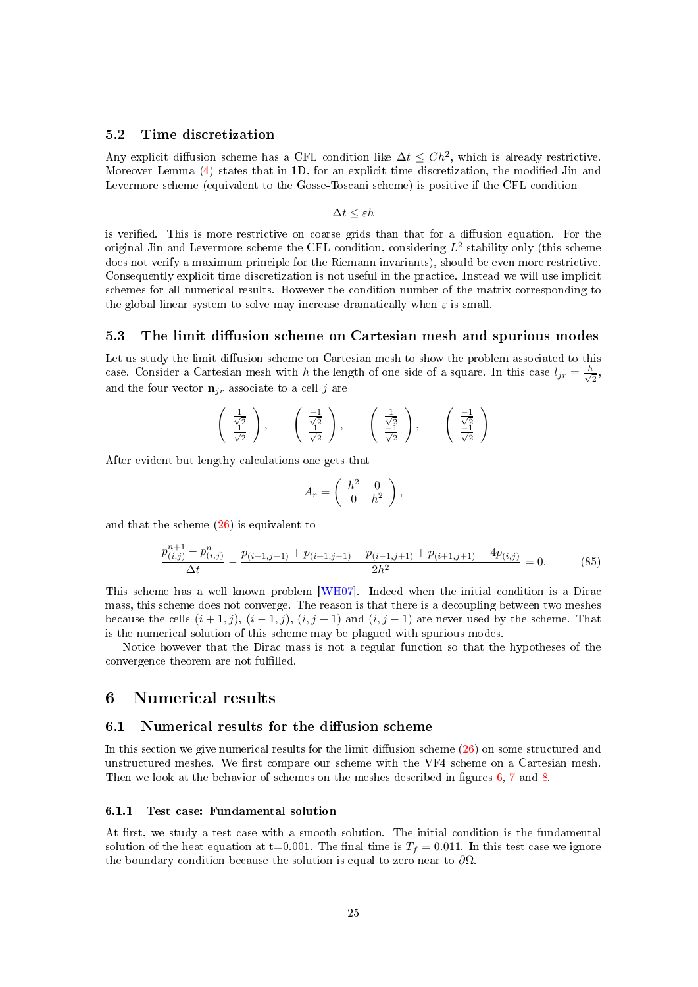# <span id="page-24-0"></span>5.2 Time discretization

Any explicit diffusion scheme has a CFL condition like  $\Delta t \leq Ch^2$ , which is already restrictive. Moreover Lemma [\(4\)](#page-5-0) states that in 1D, for an explicit time discretization, the modied Jin and Levermore scheme (equivalent to the Gosse-Toscani scheme) is positive if the CFL condition

$$
\Delta t \leq \varepsilon h
$$

is verified. This is more restrictive on coarse grids than that for a diffusion equation. For the original Jin and Levermore scheme the CFL condition, considering  $L^2$  stability only (this scheme does not verify a maximum principle for the Riemann invariants), should be even more restrictive. Consequently explicit time discretization is not useful in the practice. Instead we will use implicit schemes for all numerical results. However the condition number of the matrix corresponding to the global linear system to solve may increase dramatically when  $\varepsilon$  is small.

#### <span id="page-24-1"></span>5.3 The limit diffusion scheme on Cartesian mesh and spurious modes

Let us study the limit diffusion scheme on Cartesian mesh to show the problem associated to this case. Consider a Cartesian mesh with h the length of one side of a square. In this case  $l_{jr} = \frac{h}{\sqrt{2}}$  $\frac{\iota}{2},$ and the four vector  $\mathbf{n}_{ir}$  associate to a cell j are

$$
\left(\begin{array}{c}\frac{1}{\sqrt{2}}\\\frac{1}{\sqrt{2}}\end{array}\right), \quad \left(\begin{array}{c}\frac{-1}{\sqrt{2}}\\\frac{1}{\sqrt{2}}\end{array}\right), \quad \left(\begin{array}{c}\frac{1}{\sqrt{2}}\\\frac{-1}{\sqrt{2}}\end{array}\right), \quad \left(\begin{array}{c}\frac{-1}{\sqrt{2}}\\\frac{-1}{\sqrt{2}}\end{array}\right)
$$

After evident but lengthy calculations one gets that

$$
A_r = \left( \begin{array}{cc} h^2 & 0 \\ 0 & h^2 \end{array} \right),
$$

and that the scheme  $(26)$  is equivalent to

$$
\frac{p_{(i,j)}^{n+1} - p_{(i,j)}^n}{\Delta t} - \frac{p_{(i-1,j-1)} + p_{(i+1,j-1)} + p_{(i-1,j+1)} + p_{(i+1,j+1)} - 4p_{(i,j)}}{2h^2} = 0.
$$
 (85)

This scheme has a well known problem [\[WH07\]](#page-30-12). Indeed when the initial condition is a Dirac mass, this scheme does not converge. The reason is that there is a decoupling between two meshes because the cells  $(i + 1, j)$ ,  $(i - 1, j)$ ,  $(i, j + 1)$  and  $(i, j - 1)$  are never used by the scheme. That is the numerical solution of this scheme may be plagued with spurious modes.

Notice however that the Dirac mass is not a regular function so that the hypotheses of the convergence theorem are not fullled.

# <span id="page-24-2"></span>6 Numerical results

### <span id="page-24-3"></span> $6.1$  Numerical results for the diffusion scheme

In this section we give numerical results for the limit diffusion scheme  $(26)$  on some structured and unstructured meshes. We first compare our scheme with the VF4 scheme on a Cartesian mesh. Then we look at the behavior of schemes on the meshes described in figures  $6, 7$  $6, 7$  $6, 7$  and  $8.$ 

### <span id="page-24-4"></span>6.1.1 Test case: Fundamental solution

At first, we study a test case with a smooth solution. The initial condition is the fundamental solution of the heat equation at t=0.001. The final time is  $T_f = 0.011$ . In this test case we ignore the boundary condition because the solution is equal to zero near to  $\partial\Omega$ .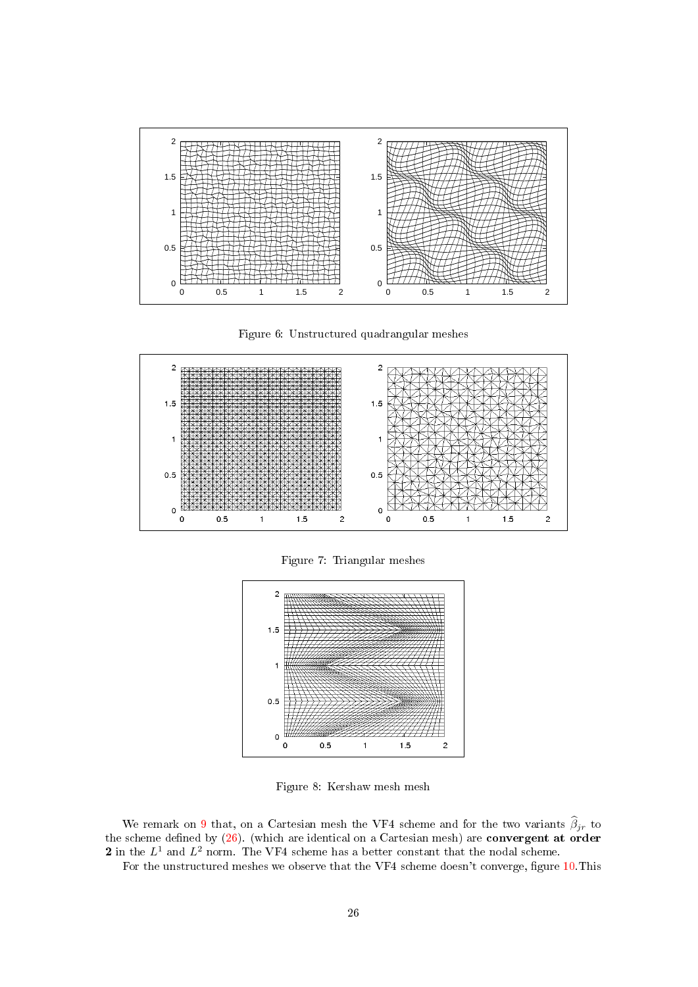

<span id="page-25-0"></span>Figure 6: Unstructured quadrangular meshes



<span id="page-25-1"></span>Figure 7: Triangular meshes



<span id="page-25-2"></span>Figure 8: Kershaw mesh mesh

We remark on [9](#page-26-0) that, on a Cartesian mesh the VF4 scheme and for the two variants  $\widehat{\beta}_{jr}$  to the scheme defined by  $(26)$ . (which are identical on a Cartesian mesh) are convergent at order 2 in the  $L^1$  and  $L^2$  norm. The VF4 scheme has a better constant that the nodal scheme.

For the unstructured meshes we observe that the VF4 scheme doesn't converge, figure [10.](#page-26-1) This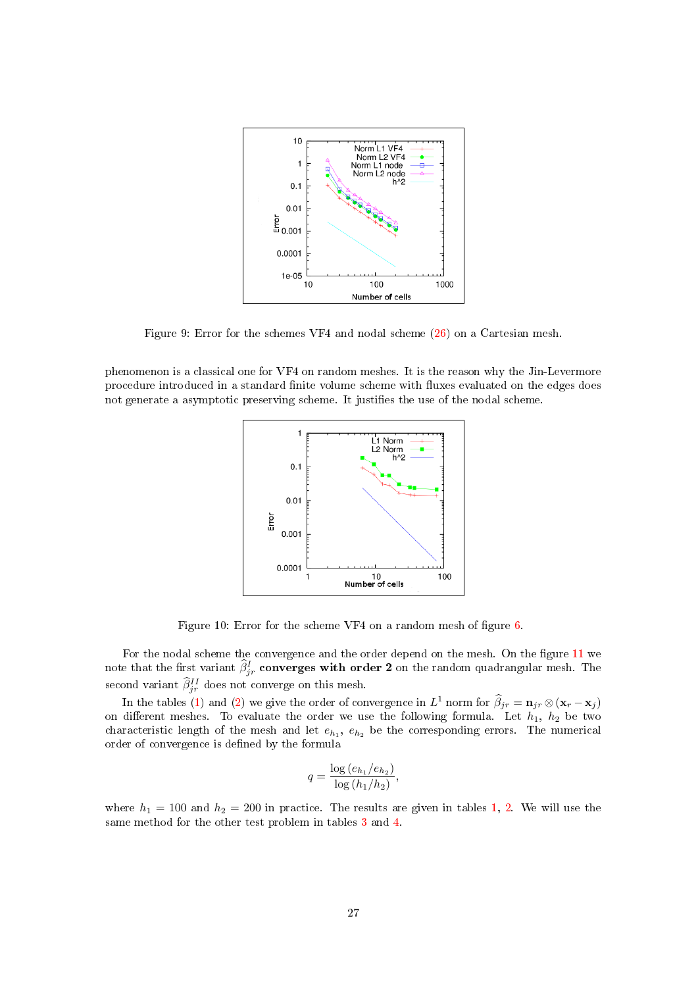

<span id="page-26-0"></span>Figure 9: Error for the schemes VF4 and nodal scheme [\(26\)](#page-9-4) on a Cartesian mesh.

phenomenon is a classical one for VF4 on random meshes. It is the reason why the Jin-Levermore procedure introduced in a standard finite volume scheme with fluxes evaluated on the edges does not generate a asymptotic preserving scheme. It justifies the use of the nodal scheme.



<span id="page-26-1"></span>Figure 10: Error for the scheme VF4 on a random mesh of figure  $6$ .

For the nodal scheme the convergence and the order depend on the mesh. On the figure [11](#page-27-1) we note that the first variant  $\widehat{\beta}_{jr}^I$  converges with order 2 on the random quadrangular mesh. The second variant  $\hat{\beta}_{jr}^{II}$  does not converge on this mesh.

In the tables [\(1\)](#page-27-2) and [\(2\)](#page-27-3) we give the order of convergence in  $L^1$  norm for  $\hat{\beta}_{jr} = \mathbf{n}_{jr} \otimes (\mathbf{x}_r - \mathbf{x}_j)$ on different meshes. To evaluate the order we use the following formula. Let  $h_1$ ,  $h_2$  be two characteristic length of the mesh and let  $e_{h_1}$ ,  $e_{h_2}$  be the corresponding errors. The numerical order of convergence is defined by the formula

$$
q = \frac{\log(e_{h_1}/e_{h_2})}{\log(h_1/h_2)},
$$

where  $h_1 = 100$  and  $h_2 = 200$  in practice. The results are given in tables [1,](#page-27-2) [2.](#page-27-3) We will use the same method for the other test problem in tables [3](#page-27-4) and [4.](#page-27-5)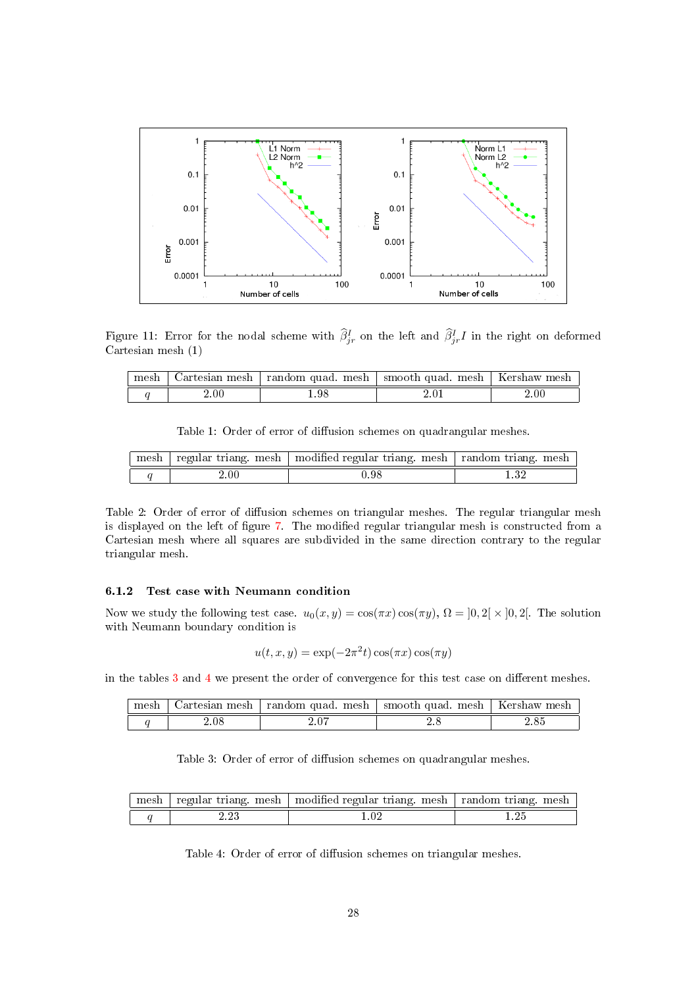

Figure 11: Error for the nodal scheme with  $\hat{\beta}_{jr}^I$  on the left and  $\hat{\beta}_{jr}^I$  in the right on deformed Cartesian mesh (1)

<span id="page-27-1"></span>

| moch | artesian mesh | random quad.<br>mesh | smooth quad.<br>mesh | ⊾ershaw<br>mes. |
|------|---------------|----------------------|----------------------|-----------------|
|      | 2.00          | .98                  |                      | $.00\,$         |

<span id="page-27-2"></span>Table 1: Order of error of diffusion schemes on quadrangular meshes.

| mesh | regular triang.<br>mesh | modified regular triang, mesh | random triang.<br>mesh |
|------|-------------------------|-------------------------------|------------------------|
|      | $\angle 00$             | , 98.                         | ഹ                      |

<span id="page-27-3"></span>Table 2: Order of error of diffusion schemes on triangular meshes. The regular triangular mesh is displayed on the left of figure [7.](#page-25-1) The modified regular triangular mesh is constructed from a Cartesian mesh where all squares are subdivided in the same direction contrary to the regular triangular mesh.

#### <span id="page-27-0"></span>6.1.2 Test case with Neumann condition

Now we study the following test case.  $u_0(x, y) = \cos(\pi x) \cos(\pi y)$ ,  $\Omega = ]0, 2[ \times ]0, 2[$ . The solution with Neumann boundary condition is

$$
u(t, x, y) = \exp(-2\pi^2 t) \cos(\pi x) \cos(\pi y)
$$

in the tables  $3$  and  $4$  we present the order of convergence for this test case on different meshes.

| moch | Jartesian mesh- | random quad.<br>mesh | smooth quad.<br>mesh | -Kershaw mesh |
|------|-----------------|----------------------|----------------------|---------------|
|      |                 |                      |                      |               |

<span id="page-27-4"></span>Table 3: Order of error of diffusion schemes on quadrangular meshes.

| mesh |    | regular triang. mesh   modified regular triang. mesh   random triang. mesh |  |
|------|----|----------------------------------------------------------------------------|--|
|      | ററ |                                                                            |  |

<span id="page-27-5"></span>Table 4: Order of error of diffusion schemes on triangular meshes.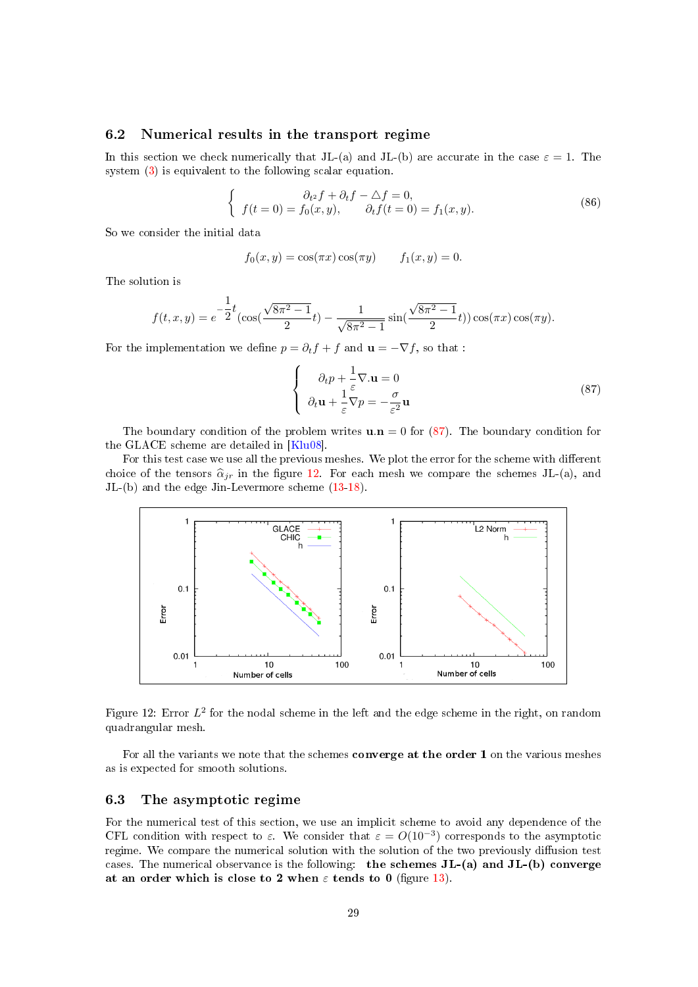# <span id="page-28-0"></span>6.2 Numerical results in the transport regime

In this section we check numerically that JL-(a) and JL-(b) are accurate in the case  $\varepsilon = 1$ . The system [\(3\)](#page-1-3) is equivalent to the following scalar equation.

$$
\begin{cases}\n\partial_{t} f + \partial_{t} f - \Delta f = 0, \\
f(t = 0) = f_{0}(x, y), \qquad \partial_{t} f(t = 0) = f_{1}(x, y).\n\end{cases}
$$
\n(86)

So we consider the initial data

$$
f_0(x, y) = \cos(\pi x) \cos(\pi y)
$$
  $f_1(x, y) = 0.$ 

The solution is

$$
f(t,x,y) = e^{-\frac{1}{2}t}(\cos(\frac{\sqrt{8\pi^2 - 1}}{2}t) - \frac{1}{\sqrt{8\pi^2 - 1}}\sin(\frac{\sqrt{8\pi^2 - 1}}{2}t))\cos(\pi x)\cos(\pi y).
$$

For the implementation we define  $p = \partial_t f + f$  and  $\mathbf{u} = -\nabla f$ , so that :

<span id="page-28-2"></span>
$$
\begin{cases}\n\partial_t p + \frac{1}{\varepsilon} \nabla \cdot \mathbf{u} = 0 \\
\partial_t \mathbf{u} + \frac{1}{\varepsilon} \nabla p = -\frac{\sigma}{\varepsilon^2} \mathbf{u}\n\end{cases}
$$
\n(87)

The boundary condition of the problem writes  $\mathbf{u} \cdot \mathbf{n} = 0$  for [\(87\)](#page-28-2). The boundary condition for the GLACE scheme are detailed in [\[Klu08\]](#page-31-3).

For this test case we use all the previous meshes. We plot the error for the scheme with different choice of the tensors  $\hat{\alpha}_{jr}$  in the figure [12.](#page-28-3) For each mesh we compare the schemes JL-(a), and JL-(b) and the edge Jin-Levermore scheme [\(13](#page-7-3)[-18\)](#page-8-0).



<span id="page-28-3"></span>Figure 12: Error  $L^2$  for the nodal scheme in the left and the edge scheme in the right, on random quadrangular mesh.

For all the variants we note that the schemes converge at the order 1 on the various meshes as is expected for smooth solutions.

# <span id="page-28-1"></span>6.3 The asymptotic regime

For the numerical test of this section, we use an implicit scheme to avoid any dependence of the CFL condition with respect to  $\varepsilon$ . We consider that  $\varepsilon = O(10^{-3})$  corresponds to the asymptotic regime. We compare the numerical solution with the solution of the two previously diffusion test cases. The numerical observance is the following: the schemes  $JL-(a)$  and  $JL-(b)$  converge at an order which is close to 2 when  $\varepsilon$  tends to 0 (figure [13\)](#page-29-1).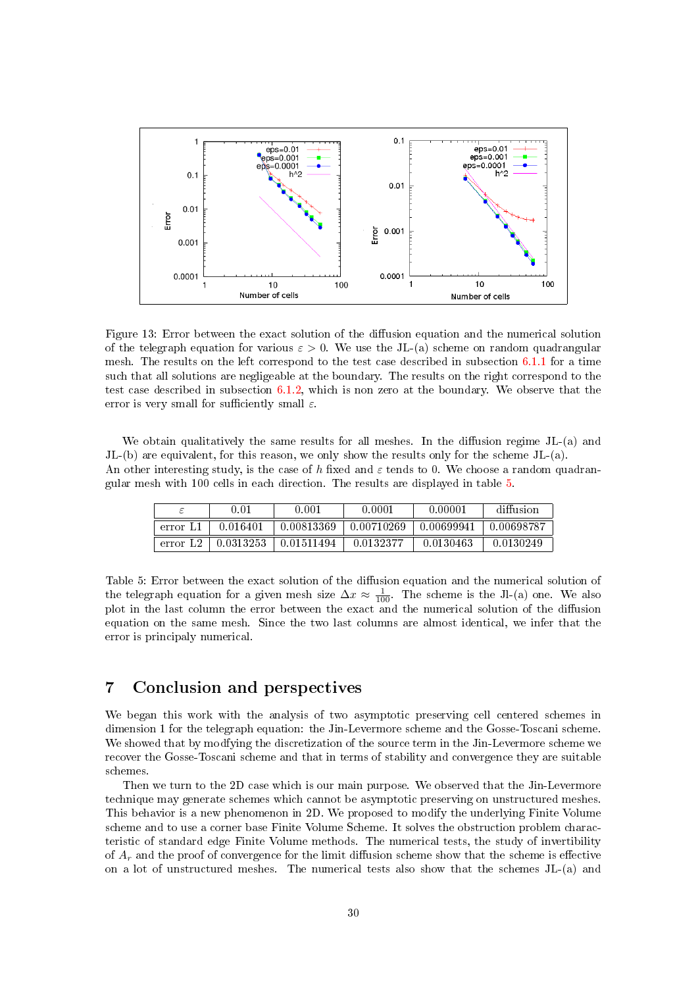

<span id="page-29-1"></span>Figure 13: Error between the exact solution of the diffusion equation and the numerical solution of the telegraph equation for various  $\varepsilon > 0$ . We use the JL-(a) scheme on random quadrangular mesh. The results on the left correspond to the test case described in subsection [6.1.1](#page-24-4) for a time such that all solutions are negligeable at the boundary. The results on the right correspond to the test case described in subsection [6.1.2,](#page-27-0) which is non zero at the boundary. We observe that the error is very small for sufficiently small  $\varepsilon$ .

We obtain qualitatively the same results for all meshes. In the diffusion regime  $JL-(a)$  and JL-(b) are equivalent, for this reason, we only show the results only for the scheme JL-(a). An other interesting study, is the case of h fixed and  $\varepsilon$  tends to 0. We choose a random quadrangular mesh with 100 cells in each direction. The results are displayed in table [5.](#page-29-2)

|          | 0.01      | 0.001      | 0.0001     | 0.00001    | diffusion  |
|----------|-----------|------------|------------|------------|------------|
| error Ll | 0.016401  | 0.00813369 | 0.00710269 | 0.00699941 | 0.00698787 |
| error L2 | 0.0313253 | 0.01511494 | 0.0132377  | 0.0130463  | 0.0130249  |

<span id="page-29-2"></span>Table 5: Error between the exact solution of the diffusion equation and the numerical solution of the telegraph equation for a given mesh size  $\Delta x \approx \frac{1}{100}$ . The scheme is the Jl-(a) one. We also plot in the last column the error between the exact and the numerical solution of the diffusion equation on the same mesh. Since the two last columns are almost identical, we infer that the error is principaly numerical.

# <span id="page-29-0"></span>7 Conclusion and perspectives

We began this work with the analysis of two asymptotic preserving cell centered schemes in dimension 1 for the telegraph equation: the Jin-Levermore scheme and the Gosse-Toscani scheme. We showed that by modfying the discretization of the source term in the Jin-Levermore scheme we recover the Gosse-Toscani scheme and that in terms of stability and convergence they are suitable schemes.

Then we turn to the 2D case which is our main purpose. We observed that the Jin-Levermore technique may generate schemes which cannot be asymptotic preserving on unstructured meshes. This behavior is a new phenomenon in 2D. We proposed to modify the underlying Finite Volume scheme and to use a corner base Finite Volume Scheme. It solves the obstruction problem characteristic of standard edge Finite Volume methods. The numerical tests, the study of invertibility of  $A_r$  and the proof of convergence for the limit diffusion scheme show that the scheme is effective on a lot of unstructured meshes. The numerical tests also show that the schemes JL-(a) and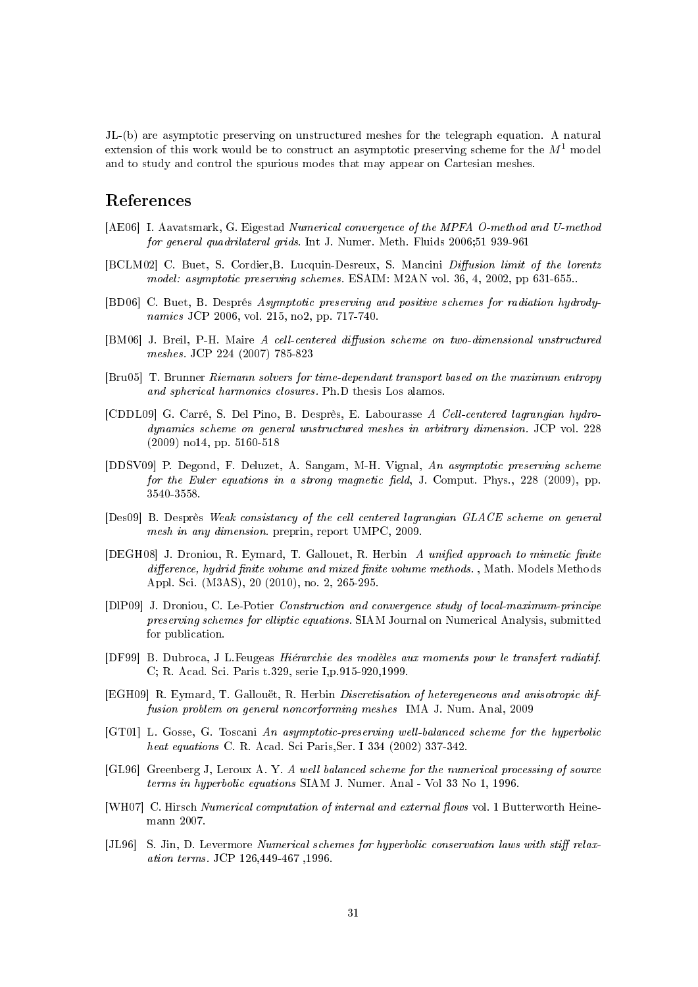JL-(b) are asymptotic preserving on unstructured meshes for the telegraph equation. A natural extension of this work would be to construct an asymptotic preserving scheme for the  $M<sup>1</sup>$  model and to study and control the spurious modes that may appear on Cartesian meshes.

# References

- <span id="page-30-11"></span>[AE06] I. Aavatsmark, G. Eigestad Numerical convergence of the MPFA O-method and U-method for general quadrilateral grids. Int J. Numer. Meth. Fluids 2006;51 939-961
- <span id="page-30-3"></span>[BCLM02] C. Buet, S. Cordier, B. Lucquin-Desreux, S. Mancini Diffusion limit of the lorentz model: asymptotic preserving schemes. ESAIM: M2AN vol. 36, 4, 2002, pp 631-655..
- <span id="page-30-2"></span>[BD06] C. Buet, B. Després Asymptotic preserving and positive schemes for radiation hydrodynamics JCP 2006, vol. 215, no2, pp. 717-740.
- <span id="page-30-8"></span>[BM06] J. Breil, P-H. Maire A cell-centered diffusion scheme on two-dimensional unstructured meshes. JCP 224 (2007) 785-823
- [Bru05] T. Brunner Riemann solvers for time-dependant transport based on the maximum entropy and spherical harmonics closures. Ph.D thesis Los alamos.
- <span id="page-30-7"></span>[CDDL09] G. Carré, S. Del Pino, B. Desprès, E. Labourasse A Cell-centered lagrangian hydrodynamics scheme on general unstructured meshes in arbitrary dimension. JCP vol. 228 (2009) no14, pp. 5160-518
- <span id="page-30-4"></span>[DDSV09] P. Degond, F. Deluzet, A. Sangam, M-H. Vignal, An asymptotic preserving scheme for the Euler equations in a strong magnetic field, J. Comput. Phys.,  $228$  (2009), pp. 3540-3558.
- <span id="page-30-6"></span>[Des09] B. Desprès Weak consistancy of the cell centered lagrangian GLACE scheme on general mesh in any dimension. preprin, report UMPC, 2009.
- <span id="page-30-10"></span>[DEGH08] J. Droniou, R. Eymard, T. Gallouet, R. Herbin A unified approach to mimetic finite difference, hydrid finite volume and mixed finite volume methods., Math. Models Methods Appl. Sci. (M3AS), 20 (2010), no. 2, 265-295.
- <span id="page-30-9"></span>[DlP09] J. Droniou, C. Le-Potier Construction and convergence study of local-maximum-principe preserving schemes for elliptic equations. SIAM Journal on Numerical Analysis, submitted for publication.
- [DF99] B. Dubroca, J L.Feugeas Hiérarchie des modèles aux moments pour le transfert radiatif. C; R. Acad. Sci. Paris t.329, serie I,p.915-920,1999.
- [EGH09] R. Eymard, T. Gallouët, R. Herbin Discretisation of heteregeneous and anisotropic diffusion problem on general noncorforming meshes IMA J. Num. Anal, 2009
- <span id="page-30-1"></span>[GT01] L. Gosse, G. Toscani An asymptotic-preserving well-balanced scheme for the hyperbolic heat equations C. R. Acad. Sci Paris,Ser. I 334 (2002) 337-342.
- <span id="page-30-5"></span>[GL96] Greenberg J, Leroux A. Y. A well balanced scheme for the numerical processing of source terms in hyperbolic equations SIAM J. Numer. Anal - Vol 33 No 1, 1996.
- <span id="page-30-12"></span>[WH07] C. Hirsch Numerical computation of internal and external flows vol. 1 Butterworth Heinemann 2007.
- <span id="page-30-0"></span> $[JL96]$  S. Jin, D. Levermore Numerical schemes for hyperbolic conservation laws with stiff relaxation terms. JCP 126,449-467 ,1996.